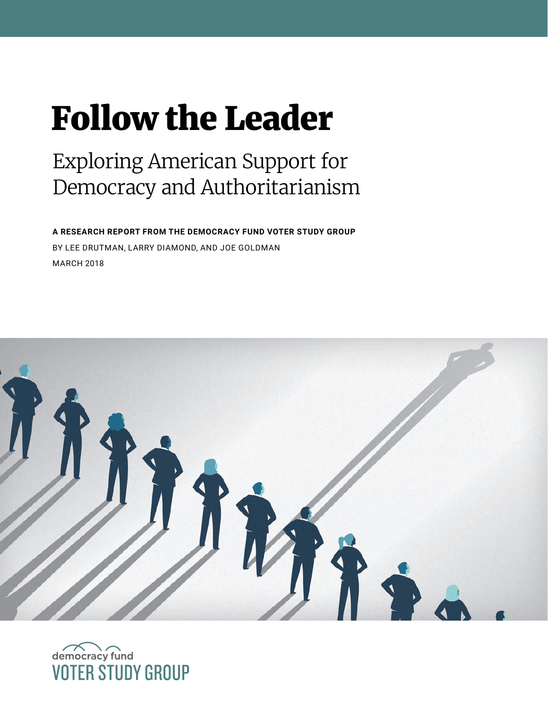# Follow the Leader

# Exploring American Support for Democracy and Authoritarianism

**A RESEARCH REPORT FROM THE DEMOCRACY FUND VOTER STUDY GROUP**  BY LEE DRUTMAN, LARRY DIAMOND, AND JOE GOLDMAN MARCH 2018



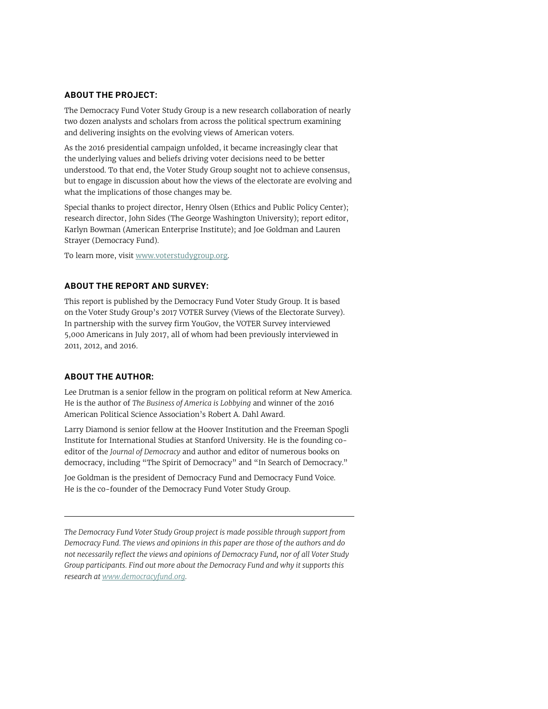#### **ABOUT THE PROJECT:**

The Democracy Fund Voter Study Group is a new research collaboration of nearly two dozen analysts and scholars from across the political spectrum examining and delivering insights on the evolving views of American voters.

As the 2016 presidential campaign unfolded, it became increasingly clear that the underlying values and beliefs driving voter decisions need to be better understood. To that end, the Voter Study Group sought not to achieve consensus, but to engage in discussion about how the views of the electorate are evolving and what the implications of those changes may be.

Special thanks to project director, Henry Olsen (Ethics and Public Policy Center); research director, John Sides (The George Washington University); report editor, Karlyn Bowman (American Enterprise Institute); and Joe Goldman and Lauren Strayer (Democracy Fund).

To learn more, visit [www.voterstudygroup.org](http://www.voterstudygroup.org).

#### **ABOUT THE REPORT AND SURVEY:**

This report is published by the Democracy Fund Voter Study Group. It is based on the Voter Study Group's 2017 VOTER Survey (Views of the Electorate Survey). In partnership with the survey firm YouGov, the VOTER Survey interviewed 5,000 Americans in July 2017, all of whom had been previously interviewed in 2011, 2012, and 2016.

#### **ABOUT THE AUTHOR:**

Lee Drutman is a senior fellow in the program on political reform at New America. He is the author of *The Business of America is Lobbying* and winner of the 2016 American Political Science Association's Robert A. Dahl Award.

Larry Diamond is senior fellow at the Hoover Institution and the Freeman Spogli Institute for International Studies at Stanford University. He is the founding coeditor of the *Journal of Democracy* and author and editor of numerous books on democracy, including "The Spirit of Democracy" and "In Search of Democracy."

Joe Goldman is the president of Democracy Fund and Democracy Fund Voice. He is the co-founder of the Democracy Fund Voter Study Group.

*The Democracy Fund Voter Study Group project is made possible through support from Democracy Fund. The views and opinions in this paper are those of the authors and do not necessarily reflect the views and opinions of Democracy Fund, nor of all Voter Study Group participants. Find out more about the Democracy Fund and why it supports this research at www.democracyfund.org.*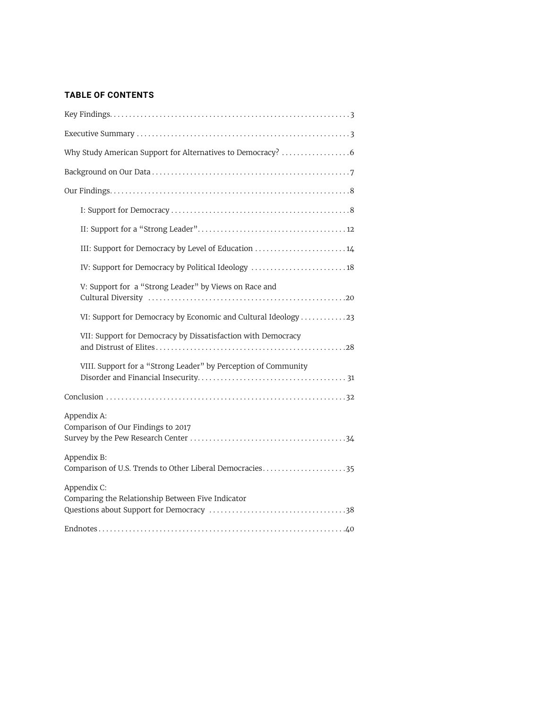#### **TABLE OF CONTENTS**

| III: Support for Democracy by Level of Education  14                    |
|-------------------------------------------------------------------------|
| IV: Support for Democracy by Political Ideology  18                     |
| V: Support for a "Strong Leader" by Views on Race and                   |
| VI: Support for Democracy by Economic and Cultural Ideology 23          |
| VII: Support for Democracy by Dissatisfaction with Democracy            |
| VIII. Support for a "Strong Leader" by Perception of Community          |
|                                                                         |
| Appendix A:<br>Comparison of Our Findings to 2017                       |
| Appendix B:<br>Comparison of U.S. Trends to Other Liberal Democracies35 |
| Appendix C:<br>Comparing the Relationship Between Five Indicator        |
|                                                                         |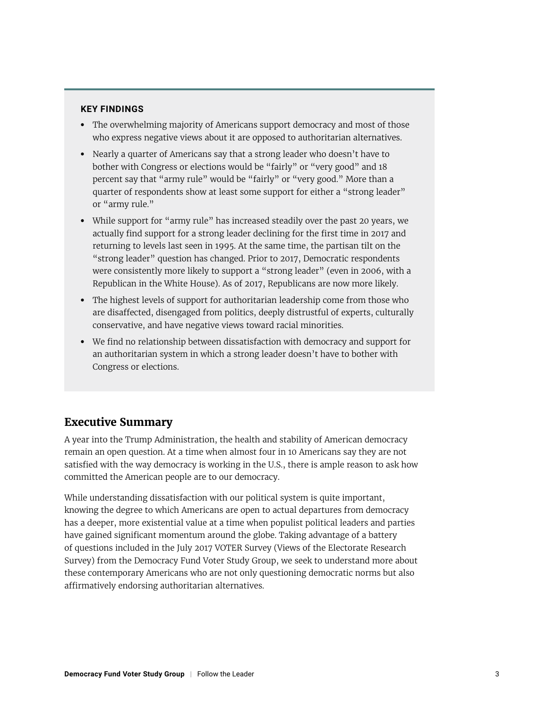#### <span id="page-3-0"></span>**KEY FINDINGS**

- **•** The overwhelming majority of Americans support democracy and most of those who express negative views about it are opposed to authoritarian alternatives.
- **•** Nearly a quarter of Americans say that a strong leader who doesn't have to bother with Congress or elections would be "fairly" or "very good" and 18 percent say that "army rule" would be "fairly" or "very good." More than a quarter of respondents show at least some support for either a "strong leader" or "army rule."
- **•** While support for "army rule" has increased steadily over the past 20 years, we actually find support for a strong leader declining for the first time in 2017 and returning to levels last seen in 1995. At the same time, the partisan tilt on the "strong leader" question has changed. Prior to 2017, Democratic respondents were consistently more likely to support a "strong leader" (even in 2006, with a Republican in the White House). As of 2017, Republicans are now more likely.
- **•** The highest levels of support for authoritarian leadership come from those who are disaffected, disengaged from politics, deeply distrustful of experts, culturally conservative, and have negative views toward racial minorities.
- **•** We find no relationship between dissatisfaction with democracy and support for an authoritarian system in which a strong leader doesn't have to bother with Congress or elections.

# **Executive Summary**

A year into the Trump Administration, the health and stability of American democracy remain an open question. At a time when almost four in 10 Americans say they are not satisfied with the way democracy is working in the U.S., there is ample reason to ask how committed the American people are to our democracy.

While understanding dissatisfaction with our political system is quite important, knowing the degree to which Americans are open to actual departures from democracy has a deeper, more existential value at a time when populist political leaders and parties have gained significant momentum around the globe. Taking advantage of a battery of questions included in the July 2017 VOTER Survey (Views of the Electorate Research Survey) from the Democracy Fund Voter Study Group, we seek to understand more about these contemporary Americans who are not only questioning democratic norms but also affirmatively endorsing authoritarian alternatives.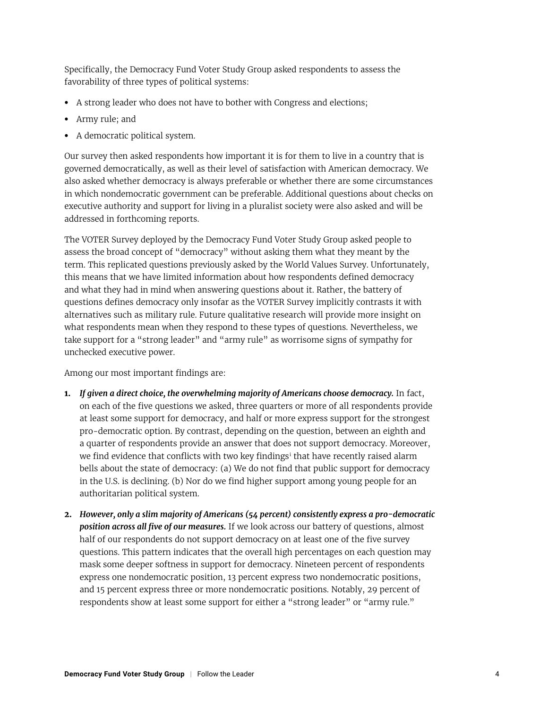Specifically, the Democracy Fund Voter Study Group asked respondents to assess the favorability of three types of political systems:

- **•** A strong leader who does not have to bother with Congress and elections;
- **•** Army rule; and
- **•** A democratic political system.

Our survey then asked respondents how important it is for them to live in a country that is governed democratically, as well as their level of satisfaction with American democracy. We also asked whether democracy is always preferable or whether there are some circumstances in which nondemocratic government can be preferable. Additional questions about checks on executive authority and support for living in a pluralist society were also asked and will be addressed in forthcoming reports.

The VOTER Survey deployed by the Democracy Fund Voter Study Group asked people to assess the broad concept of "democracy" without asking them what they meant by the term. This replicated questions previously asked by the World Values Survey. Unfortunately, this means that we have limited information about how respondents defined democracy and what they had in mind when answering questions about it. Rather, the battery of questions defines democracy only insofar as the VOTER Survey implicitly contrasts it with alternatives such as military rule. Future qualitative research will provide more insight on what respondents mean when they respond to these types of questions. Nevertheless, we take support for a "strong leader" and "army rule" as worrisome signs of sympathy for unchecked executive power.

Among our most important findings are:

- **1.** *If given a direct choice, the overwhelming majority of Americans choose democracy.* In fact, on each of the five questions we asked, three quarters or more of all respondents provide at least some support for democracy, and half or more express support for the strongest pro-democratic option. By contrast, depending on the question, between an eighth and a quarter of respondents provide an answer that does not support democracy. Moreover, we find evidence that conflicts with two key findings<sup>i</sup> that have recently raised alarm bells about the state of democracy: (a) We do not find that public support for democracy in the U.S. is declining. (b) Nor do we find higher support among young people for an authoritarian political system.
- **2.** *However, only a slim majority of Americans (54 percent) consistently express a pro-democratic position across all five of our measures.* If we look across our battery of questions, almost half of our respondents do not support democracy on at least one of the five survey questions. This pattern indicates that the overall high percentages on each question may mask some deeper softness in support for democracy. Nineteen percent of respondents express one nondemocratic position, 13 percent express two nondemocratic positions, and 15 percent express three or more nondemocratic positions. Notably, 29 percent of respondents show at least some support for either a "strong leader" or "army rule."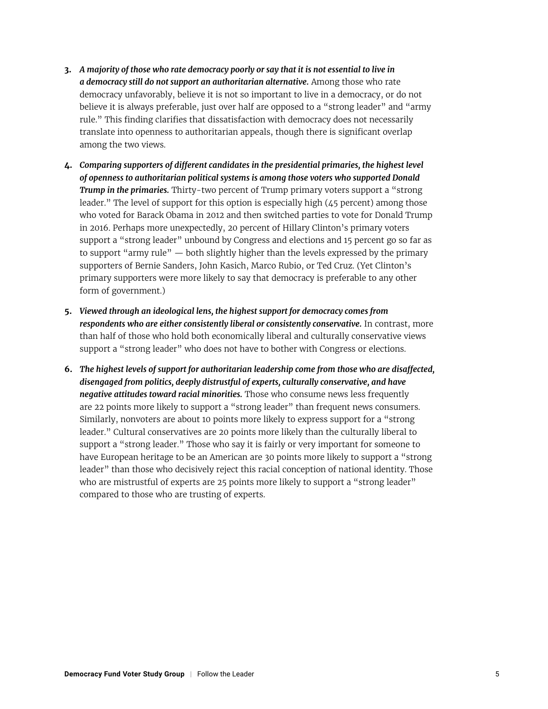- **3.** *A majority of those who rate democracy poorly or say that it is not essential to live in a democracy still do not support an authoritarian alternative.* Among those who rate democracy unfavorably, believe it is not so important to live in a democracy, or do not believe it is always preferable, just over half are opposed to a "strong leader" and "army rule." This finding clarifies that dissatisfaction with democracy does not necessarily translate into openness to authoritarian appeals, though there is significant overlap among the two views.
- **4.** *Comparing supporters of different candidates in the presidential primaries, the highest level of openness to authoritarian political systems is among those voters who supported Donald Trump in the primaries.* Thirty-two percent of Trump primary voters support a "strong leader." The level of support for this option is especially high (45 percent) among those who voted for Barack Obama in 2012 and then switched parties to vote for Donald Trump in 2016. Perhaps more unexpectedly, 20 percent of Hillary Clinton's primary voters support a "strong leader" unbound by Congress and elections and 15 percent go so far as to support "army rule" — both slightly higher than the levels expressed by the primary supporters of Bernie Sanders, John Kasich, Marco Rubio, or Ted Cruz. (Yet Clinton's primary supporters were more likely to say that democracy is preferable to any other form of government.)
- **5.** *Viewed through an ideological lens, the highest support for democracy comes from respondents who are either consistently liberal or consistently conservative.* In contrast, more than half of those who hold both economically liberal and culturally conservative views support a "strong leader" who does not have to bother with Congress or elections.
- **6.** *The highest levels of support for authoritarian leadership come from those who are disaffected, disengaged from politics, deeply distrustful of experts, culturally conservative, and have negative attitudes toward racial minorities.* Those who consume news less frequently are 22 points more likely to support a "strong leader" than frequent news consumers. Similarly, nonvoters are about 10 points more likely to express support for a "strong leader." Cultural conservatives are 20 points more likely than the culturally liberal to support a "strong leader." Those who say it is fairly or very important for someone to have European heritage to be an American are 30 points more likely to support a "strong leader" than those who decisively reject this racial conception of national identity. Those who are mistrustful of experts are 25 points more likely to support a "strong leader" compared to those who are trusting of experts.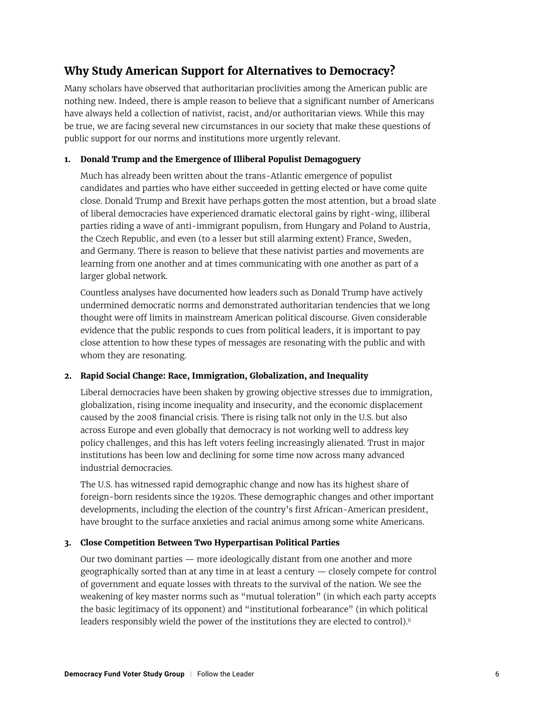# <span id="page-6-0"></span>**Why Study American Support for Alternatives to Democracy?**

Many scholars have observed that authoritarian proclivities among the American public are nothing new. Indeed, there is ample reason to believe that a significant number of Americans have always held a collection of nativist, racist, and/or authoritarian views. While this may be true, we are facing several new circumstances in our society that make these questions of public support for our norms and institutions more urgently relevant.

#### **1. Donald Trump and the Emergence of Illiberal Populist Demagoguery**

Much has already been written about the trans-Atlantic emergence of populist candidates and parties who have either succeeded in getting elected or have come quite close. Donald Trump and Brexit have perhaps gotten the most attention, but a broad slate of liberal democracies have experienced dramatic electoral gains by right-wing, illiberal parties riding a wave of anti-immigrant populism, from Hungary and Poland to Austria, the Czech Republic, and even (to a lesser but still alarming extent) France, Sweden, and Germany. There is reason to believe that these nativist parties and movements are learning from one another and at times communicating with one another as part of a larger global network.

Countless analyses have documented how leaders such as Donald Trump have actively undermined democratic norms and demonstrated authoritarian tendencies that we long thought were off limits in mainstream American political discourse. Given considerable evidence that the public responds to cues from political leaders, it is important to pay close attention to how these types of messages are resonating with the public and with whom they are resonating.

#### **2. Rapid Social Change: Race, Immigration, Globalization, and Inequality**

Liberal democracies have been shaken by growing objective stresses due to immigration, globalization, rising income inequality and insecurity, and the economic displacement caused by the 2008 financial crisis. There is rising talk not only in the U.S. but also across Europe and even globally that democracy is not working well to address key policy challenges, and this has left voters feeling increasingly alienated. Trust in major institutions has been low and declining for some time now across many advanced industrial democracies.

The U.S. has witnessed rapid demographic change and now has its highest share of foreign-born residents since the 1920s. These demographic changes and other important developments, including the election of the country's first African-American president, have brought to the surface anxieties and racial animus among some white Americans.

#### **3. Close Competition Between Two Hyperpartisan Political Parties**

Our two dominant parties — more ideologically distant from one another and more geographically sorted than at any time in at least a century — closely compete for control of government and equate losses with threats to the survival of the nation. We see the weakening of key master norms such as "mutual toleration" (in which each party accepts the basic legitimacy of its opponent) and "institutional forbearance" (in which political leaders responsibly wield the power of the institutions they are elected to control). $\mathbb{I}$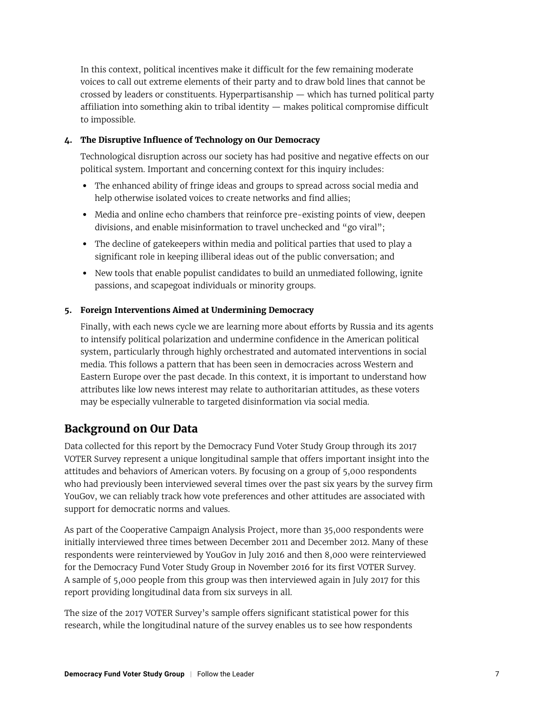<span id="page-7-0"></span>In this context, political incentives make it difficult for the few remaining moderate voices to call out extreme elements of their party and to draw bold lines that cannot be crossed by leaders or constituents. Hyperpartisanship — which has turned political party affiliation into something akin to tribal identity — makes political compromise difficult to impossible.

#### **4. The Disruptive Influence of Technology on Our Democracy**

Technological disruption across our society has had positive and negative effects on our political system. Important and concerning context for this inquiry includes:

- **•** The enhanced ability of fringe ideas and groups to spread across social media and help otherwise isolated voices to create networks and find allies;
- **•** Media and online echo chambers that reinforce pre-existing points of view, deepen divisions, and enable misinformation to travel unchecked and "go viral";
- **•** The decline of gatekeepers within media and political parties that used to play a significant role in keeping illiberal ideas out of the public conversation; and
- **•** New tools that enable populist candidates to build an unmediated following, ignite passions, and scapegoat individuals or minority groups.

#### **5. Foreign Interventions Aimed at Undermining Democracy**

Finally, with each news cycle we are learning more about efforts by Russia and its agents to intensify political polarization and undermine confidence in the American political system, particularly through highly orchestrated and automated interventions in social media. This follows a pattern that has been seen in democracies across Western and Eastern Europe over the past decade. In this context, it is important to understand how attributes like low news interest may relate to authoritarian attitudes, as these voters may be especially vulnerable to targeted disinformation via social media.

# **Background on Our Data**

Data collected for this report by the Democracy Fund Voter Study Group through its 2017 VOTER Survey represent a unique longitudinal sample that offers important insight into the attitudes and behaviors of American voters. By focusing on a group of 5,000 respondents who had previously been interviewed several times over the past six years by the survey firm YouGov, we can reliably track how vote preferences and other attitudes are associated with support for democratic norms and values.

As part of the Cooperative Campaign Analysis Project, more than 35,000 respondents were initially interviewed three times between December 2011 and December 2012. Many of these respondents were reinterviewed by YouGov in July 2016 and then 8,000 were reinterviewed for the Democracy Fund Voter Study Group in November 2016 for its first VOTER Survey. A sample of 5,000 people from this group was then interviewed again in July 2017 for this report providing longitudinal data from six surveys in all.

The size of the 2017 VOTER Survey's sample offers significant statistical power for this research, while the longitudinal nature of the survey enables us to see how respondents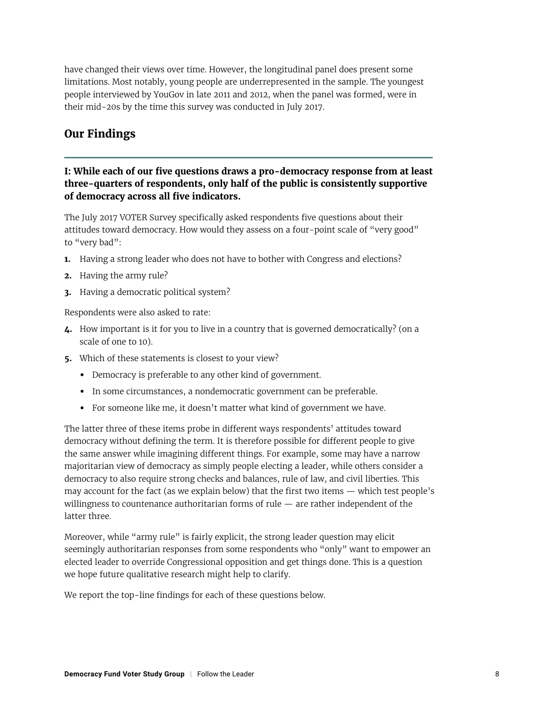<span id="page-8-0"></span>have changed their views over time. However, the longitudinal panel does present some limitations. Most notably, young people are underrepresented in the sample. The youngest people interviewed by YouGov in late 2011 and 2012, when the panel was formed, were in their mid-20s by the time this survey was conducted in July 2017.

# **Our Findings**

#### **I: While each of our five questions draws a pro-democracy response from at least three-quarters of respondents, only half of the public is consistently supportive of democracy across all five indicators.**

The July 2017 VOTER Survey specifically asked respondents five questions about their attitudes toward democracy. How would they assess on a four-point scale of "very good" to "very bad":

- **1.** Having a strong leader who does not have to bother with Congress and elections?
- **2.** Having the army rule?
- **3.** Having a democratic political system?

Respondents were also asked to rate:

- **4.** How important is it for you to live in a country that is governed democratically? (on a scale of one to 10).
- **5.** Which of these statements is closest to your view?
	- **•** Democracy is preferable to any other kind of government.
	- **•** In some circumstances, a nondemocratic government can be preferable.
	- **•** For someone like me, it doesn't matter what kind of government we have.

The latter three of these items probe in different ways respondents' attitudes toward democracy without defining the term. It is therefore possible for different people to give the same answer while imagining different things. For example, some may have a narrow majoritarian view of democracy as simply people electing a leader, while others consider a democracy to also require strong checks and balances, rule of law, and civil liberties. This may account for the fact (as we explain below) that the first two items — which test people's willingness to countenance authoritarian forms of rule — are rather independent of the latter three.

Moreover, while "army rule" is fairly explicit, the strong leader question may elicit seemingly authoritarian responses from some respondents who "only" want to empower an elected leader to override Congressional opposition and get things done. This is a question we hope future qualitative research might help to clarify.

We report the top-line findings for each of these questions below.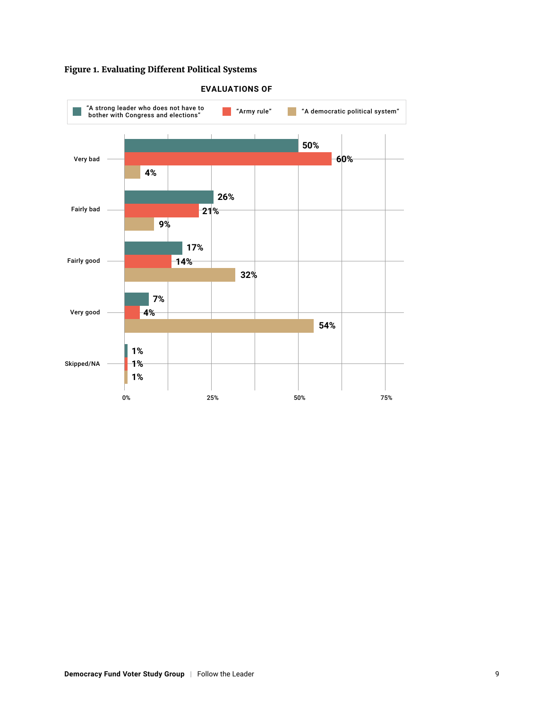#### **Figure 1. Evaluating Different Political Systems**



#### **EVALUATIONS OF**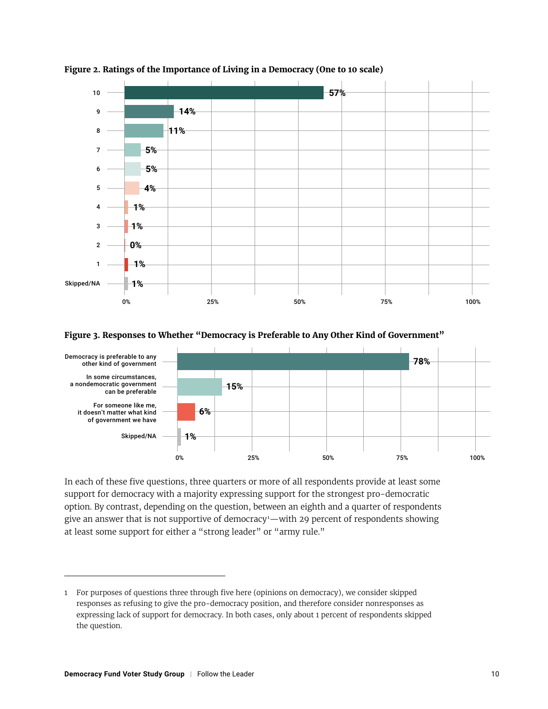



**Figure 3. Responses to Whether "Democracy is Preferable to Any Other Kind of Government"**



In each of these five questions, three quarters or more of all respondents provide at least some support for democracy with a majority expressing support for the strongest pro-democratic option. By contrast, depending on the question, between an eighth and a quarter of respondents give an answer that is not supportive of democracy1 —with 29 percent of respondents showing at least some support for either a "strong leader" or "army rule."

<sup>1</sup> For purposes of questions three through five here (opinions on democracy), we consider skipped responses as refusing to give the pro-democracy position, and therefore consider nonresponses as expressing lack of support for democracy. In both cases, only about 1 percent of respondents skipped the question.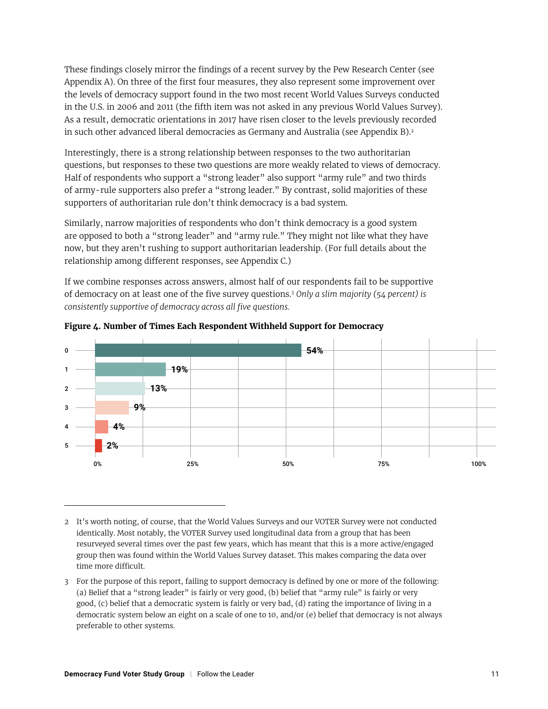These findings closely mirror the findings of a recent survey by the Pew Research Center (see Appendix A). On three of the first four measures, they also represent some improvement over the levels of democracy support found in the two most recent World Values Surveys conducted in the U.S. in 2006 and 2011 (the fifth item was not asked in any previous World Values Survey). As a result, democratic orientations in 2017 have risen closer to the levels previously recorded in such other advanced liberal democracies as Germany and Australia (see Appendix B).<sup>2</sup>

Interestingly, there is a strong relationship between responses to the two authoritarian questions, but responses to these two questions are more weakly related to views of democracy. Half of respondents who support a "strong leader" also support "army rule" and two thirds of army-rule supporters also prefer a "strong leader." By contrast, solid majorities of these supporters of authoritarian rule don't think democracy is a bad system.

Similarly, narrow majorities of respondents who don't think democracy is a good system are opposed to both a "strong leader" and "army rule." They might not like what they have now, but they aren't rushing to support authoritarian leadership. (For full details about the relationship among different responses, see Appendix C.)

If we combine responses across answers, almost half of our respondents fail to be supportive of democracy on at least one of the five survey questions.<sup>3</sup> *Only a slim majority (54 percent) is consistently supportive of democracy across all five questions.*





3 For the purpose of this report, failing to support democracy is defined by one or more of the following: (a) Belief that a "strong leader" is fairly or very good, (b) belief that "army rule" is fairly or very good, (c) belief that a democratic system is fairly or very bad, (d) rating the importance of living in a democratic system below an eight on a scale of one to 10, and/or (e) belief that democracy is not always preferable to other systems.

<sup>2</sup> It's worth noting, of course, that the World Values Surveys and our VOTER Survey were not conducted identically. Most notably, the VOTER Survey used longitudinal data from a group that has been resurveyed several times over the past few years, which has meant that this is a more active/engaged group then was found within the World Values Survey dataset. This makes comparing the data over time more difficult.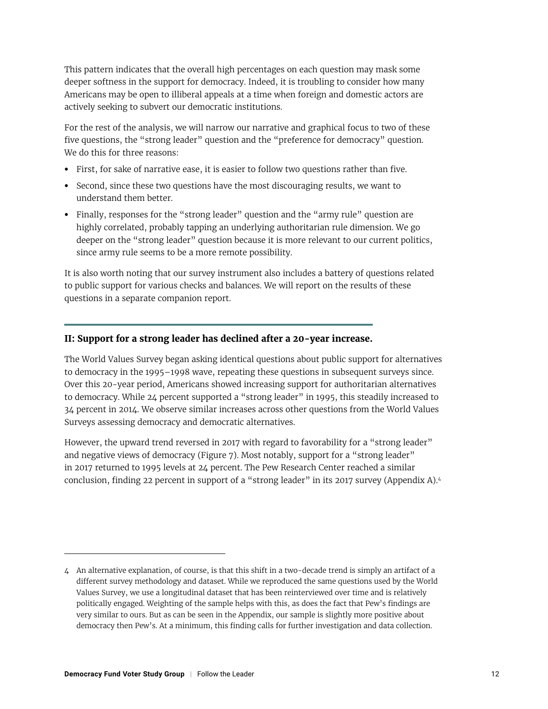<span id="page-12-0"></span>This pattern indicates that the overall high percentages on each question may mask some deeper softness in the support for democracy. Indeed, it is troubling to consider how many Americans may be open to illiberal appeals at a time when foreign and domestic actors are actively seeking to subvert our democratic institutions.

For the rest of the analysis, we will narrow our narrative and graphical focus to two of these five questions, the "strong leader" question and the "preference for democracy" question. We do this for three reasons:

- **•** First, for sake of narrative ease, it is easier to follow two questions rather than five.
- **•** Second, since these two questions have the most discouraging results, we want to understand them better.
- **•** Finally, responses for the "strong leader" question and the "army rule" question are highly correlated, probably tapping an underlying authoritarian rule dimension. We go deeper on the "strong leader" question because it is more relevant to our current politics, since army rule seems to be a more remote possibility.

It is also worth noting that our survey instrument also includes a battery of questions related to public support for various checks and balances. We will report on the results of these questions in a separate companion report.

#### **II: Support for a strong leader has declined after a 20-year increase.**

The World Values Survey began asking identical questions about public support for alternatives to democracy in the 1995–1998 wave, repeating these questions in subsequent surveys since. Over this 20-year period, Americans showed increasing support for authoritarian alternatives to democracy. While 24 percent supported a "strong leader" in 1995, this steadily increased to 34 percent in 2014. We observe similar increases across other questions from the World Values Surveys assessing democracy and democratic alternatives.

However, the upward trend reversed in 2017 with regard to favorability for a "strong leader" and negative views of democracy (Figure 7). Most notably, support for a "strong leader" in 2017 returned to 1995 levels at 24 percent. The Pew Research Center reached a similar conclusion, finding 22 percent in support of a "strong leader" in its 2017 survey (Appendix A).<sup>4</sup>

<sup>4</sup> An alternative explanation, of course, is that this shift in a two-decade trend is simply an artifact of a different survey methodology and dataset. While we reproduced the same questions used by the World Values Survey, we use a longitudinal dataset that has been reinterviewed over time and is relatively politically engaged. Weighting of the sample helps with this, as does the fact that Pew's findings are very similar to ours. But as can be seen in the Appendix, our sample is slightly more positive about democracy then Pew's. At a minimum, this finding calls for further investigation and data collection.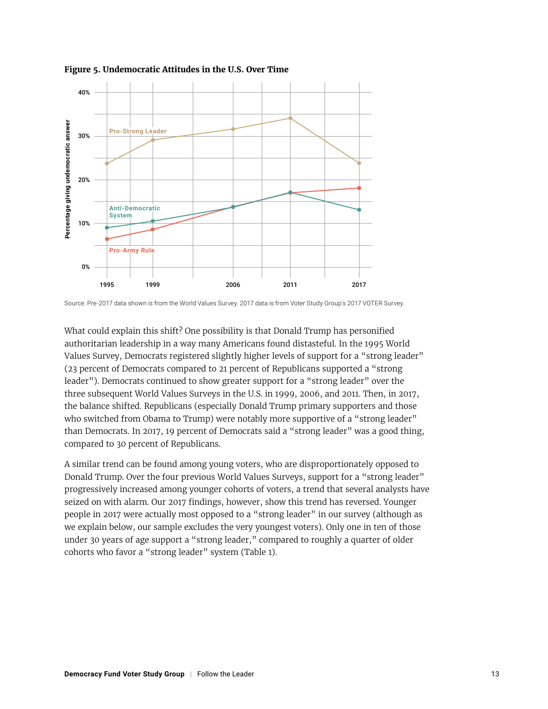

**Figure 5. Undemocratic Attitudes in the U.S. Over Time**

What could explain this shift? One possibility is that Donald Trump has personified authoritarian leadership in a way many Americans found distasteful. In the 1995 World Values Survey, Democrats registered slightly higher levels of support for a "strong leader" (23 percent of Democrats compared to 21 percent of Republicans supported a "strong leader"). Democrats continued to show greater support for a "strong leader" over the three subsequent World Values Surveys in the U.S. in 1999, 2006, and 2011. Then, in 2017, the balance shifted. Republicans (especially Donald Trump primary supporters and those who switched from Obama to Trump) were notably more supportive of a "strong leader" than Democrats. In 2017, 19 percent of Democrats said a "strong leader" was a good thing, compared to 30 percent of Republicans.

A similar trend can be found among young voters, who are disproportionately opposed to Donald Trump. Over the four previous World Values Surveys, support for a "strong leader" progressively increased among younger cohorts of voters, a trend that several analysts have seized on with alarm. Our 2017 findings, however, show this trend has reversed. Younger people in 2017 were actually most opposed to a "strong leader" in our survey (although as we explain below, our sample excludes the very youngest voters). Only one in ten of those under 30 years of age support a "strong leader," compared to roughly a quarter of older cohorts who favor a "strong leader" system (Table 1).

Source: Pre-2017 data shown is from the World Values Survey. 2017 data is from Voter Study Group's 2017 VOTER Survey.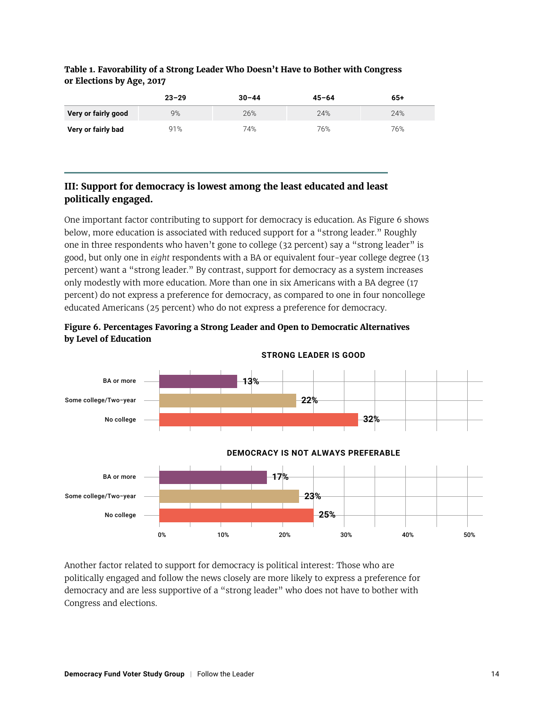|                     | $23 - 29$ | $30 - 44$ | $45 - 64$ | 65+ |
|---------------------|-----------|-----------|-----------|-----|
| Very or fairly good | 9%        | 26%       | 24%       | 24% |
| Very or fairly bad  | 91%       | 74%       | 76%       | 76% |

#### <span id="page-14-0"></span>**Table 1. Favorability of a Strong Leader Who Doesn't Have to Bother with Congress or Elections by Age, 2017**

#### **III: Support for democracy is lowest among the least educated and least politically engaged.**

One important factor contributing to support for democracy is education. As Figure 6 shows below, more education is associated with reduced support for a "strong leader." Roughly one in three respondents who haven't gone to college (32 percent) say a "strong leader" is good, but only one in *eight* respondents with a BA or equivalent four-year college degree (13 percent) want a "strong leader." By contrast, support for democracy as a system increases only modestly with more education. More than one in six Americans with a BA degree (17 percent) do not express a preference for democracy, as compared to one in four noncollege educated Americans (25 percent) who do not express a preference for democracy.



#### **Figure 6. Percentages Favoring a Strong Leader and Open to Democratic Alternatives by Level of Education**

Another factor related to support for democracy is political interest: Those who are politically engaged and follow the news closely are more likely to express a preference for democracy and are less supportive of a "strong leader" who does not have to bother with Congress and elections.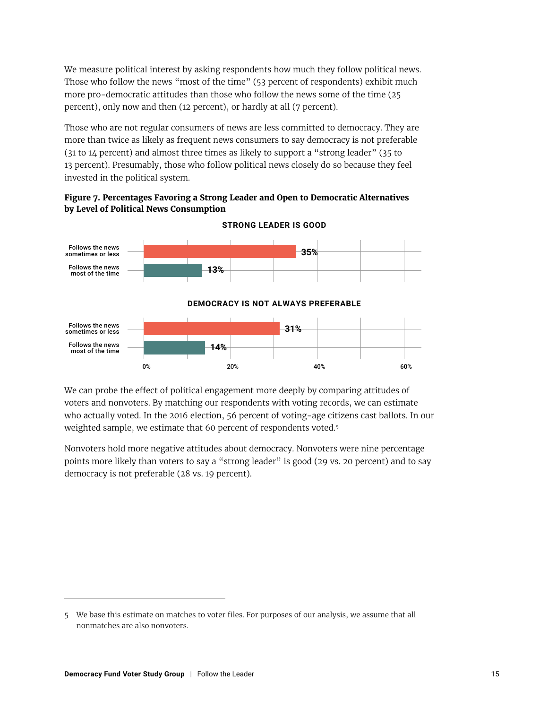We measure political interest by asking respondents how much they follow political news. Those who follow the news "most of the time" (53 percent of respondents) exhibit much more pro-democratic attitudes than those who follow the news some of the time (25 percent), only now and then (12 percent), or hardly at all (7 percent).

Those who are not regular consumers of news are less committed to democracy. They are more than twice as likely as frequent news consumers to say democracy is not preferable (31 to 14 percent) and almost three times as likely to support a "strong leader" (35 to 13 percent). Presumably, those who follow political news closely do so because they feel invested in the political system.

**Figure 7. Percentages Favoring a Strong Leader and Open to Democratic Alternatives by Level of Political News Consumption**



We can probe the effect of political engagement more deeply by comparing attitudes of voters and nonvoters. By matching our respondents with voting records, we can estimate who actually voted. In the 2016 election, 56 percent of voting-age citizens cast ballots. In our weighted sample, we estimate that 60 percent of respondents voted.<sup>5</sup>

Nonvoters hold more negative attitudes about democracy. Nonvoters were nine percentage points more likely than voters to say a "strong leader" is good (29 vs. 20 percent) and to say democracy is not preferable (28 vs. 19 percent).

<sup>5</sup> We base this estimate on matches to voter files. For purposes of our analysis, we assume that all nonmatches are also nonvoters.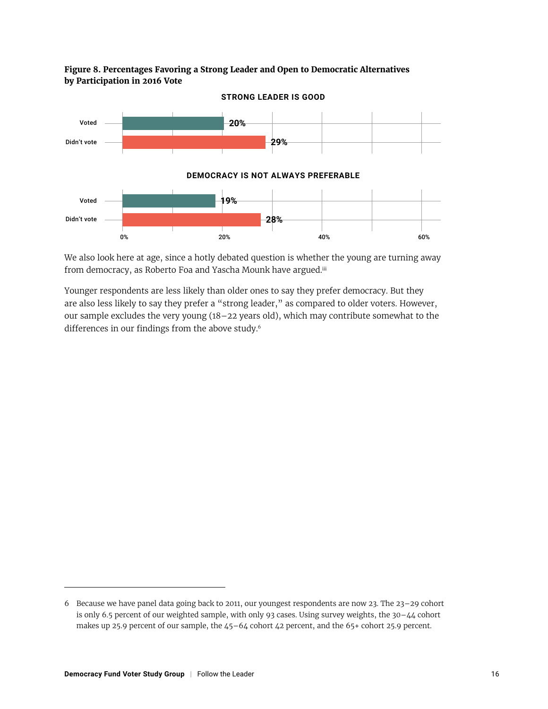



We also look here at age, since a hotly debated question is whether the young are turning away from democracy, as Roberto Foa and Yascha Mounk have argued.iii

Younger respondents are less likely than older ones to say they prefer democracy. But they are also less likely to say they prefer a "strong leader," as compared to older voters. However, our sample excludes the very young (18–22 years old), which may contribute somewhat to the differences in our findings from the above study.<sup>6</sup>

<sup>6</sup> Because we have panel data going back to 2011, our youngest respondents are now 23. The 23–29 cohort is only 6.5 percent of our weighted sample, with only 93 cases. Using survey weights, the 30–44 cohort makes up 25.9 percent of our sample, the 45–64 cohort 42 percent, and the 65+ cohort 25.9 percent.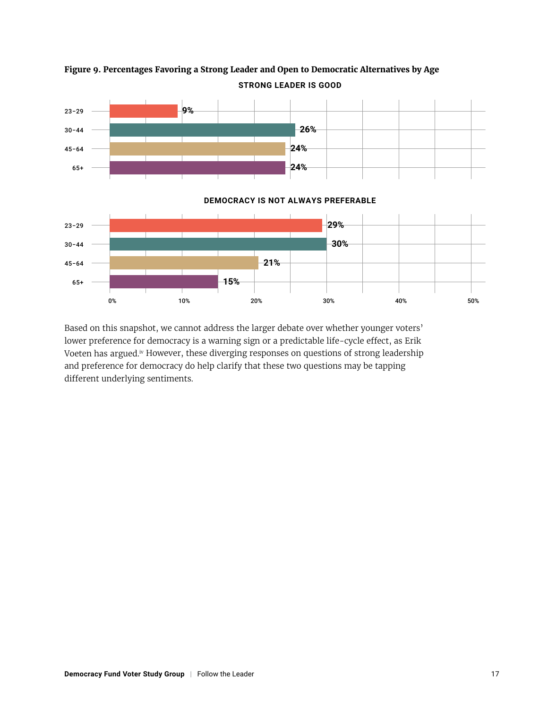

**Figure 9. Percentages Favoring a Strong Leader and Open to Democratic Alternatives by Age STRONG LEADER IS GOOD**

Based on this snapshot, we cannot address the larger debate over whether younger voters' lower preference for democracy is a warning sign or a predictable life-cycle effect, as Erik Voeten has argued.iv However, these diverging responses on questions of strong leadership and preference for democracy do help clarify that these two questions may be tapping different underlying sentiments.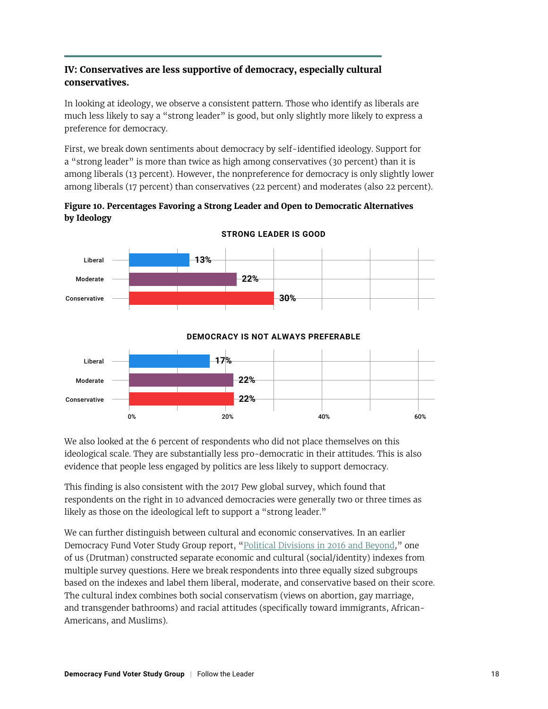### <span id="page-18-0"></span>**IV: Conservatives are less supportive of democracy, especially cultural conservatives.**

In looking at ideology, we observe a consistent pattern. Those who identify as liberals are much less likely to say a "strong leader" is good, but only slightly more likely to express a preference for democracy.

First, we break down sentiments about democracy by self-identified ideology. Support for a "strong leader" is more than twice as high among conservatives (30 percent) than it is among liberals (13 percent). However, the nonpreference for democracy is only slightly lower among liberals (17 percent) than conservatives (22 percent) and moderates (also 22 percent).

**Figure 10. Percentages Favoring a Strong Leader and Open to Democratic Alternatives by Ideology**



#### **STRONG LEADER IS GOOD**

#### **DEMOCRACY IS NOT ALWAYS PREFERABLE**



We also looked at the 6 percent of respondents who did not place themselves on this ideological scale. They are substantially less pro-democratic in their attitudes. This is also evidence that people less engaged by politics are less likely to support democracy.

This finding is also consistent with the 2017 Pew global survey, which found that respondents on the right in 10 advanced democracies were generally two or three times as likely as those on the ideological left to support a "strong leader."

We can further distinguish between cultural and economic conservatives. In an earlier Democracy Fund Voter Study Group report, ["Political Divisions in 2016 and Beyond](https://www.voterstudygroup.org/publications/2016-elections/political-divisions-in-2016-and-beyond)," one of us (Drutman) constructed separate economic and cultural (social/identity) indexes from multiple survey questions. Here we break respondents into three equally sized subgroups based on the indexes and label them liberal, moderate, and conservative based on their score. The cultural index combines both social conservatism (views on abortion, gay marriage, and transgender bathrooms) and racial attitudes (specifically toward immigrants, African-Americans, and Muslims).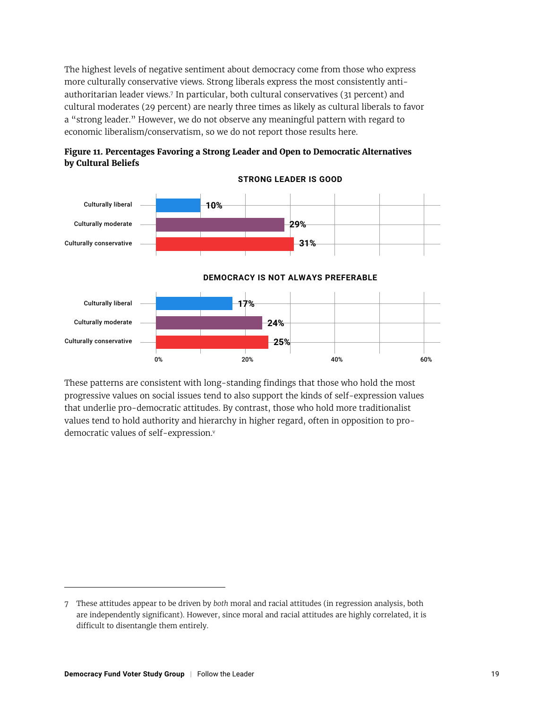The highest levels of negative sentiment about democracy come from those who express more culturally conservative views. Strong liberals express the most consistently antiauthoritarian leader views.7 In particular, both cultural conservatives (31 percent) and cultural moderates (29 percent) are nearly three times as likely as cultural liberals to favor a "strong leader." However, we do not observe any meaningful pattern with regard to economic liberalism/conservatism, so we do not report those results here.



**Figure 11. Percentages Favoring a Strong Leader and Open to Democratic Alternatives by Cultural Beliefs**

These patterns are consistent with long-standing findings that those who hold the most progressive values on social issues tend to also support the kinds of self-expression values that underlie pro-democratic attitudes. By contrast, those who hold more traditionalist values tend to hold authority and hierarchy in higher regard, often in opposition to prodemocratic values of self-expression.v

<sup>7</sup> These attitudes appear to be driven by *both* moral and racial attitudes (in regression analysis, both are independently significant). However, since moral and racial attitudes are highly correlated, it is difficult to disentangle them entirely.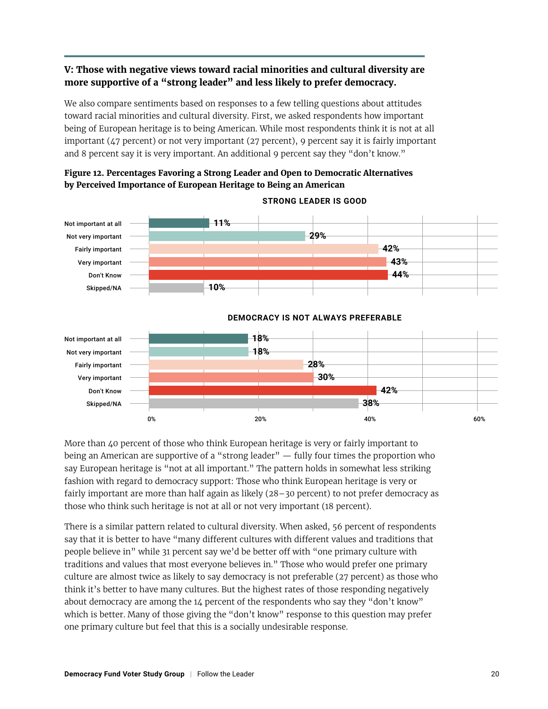#### <span id="page-20-0"></span>**V: Those with negative views toward racial minorities and cultural diversity are more supportive of a "strong leader" and less likely to prefer democracy.**

We also compare sentiments based on responses to a few telling questions about attitudes toward racial minorities and cultural diversity. First, we asked respondents how important being of European heritage is to being American. While most respondents think it is not at all important (47 percent) or not very important (27 percent), 9 percent say it is fairly important and 8 percent say it is very important. An additional 9 percent say they "don't know."

**Figure 12. Percentages Favoring a Strong Leader and Open to Democratic Alternatives by Perceived Importance of European Heritage to Being an American**



**STRONG LEADER IS GOOD**

 $0\%$  20% and  $40\%$  20% and  $40\%$ 

More than 40 percent of those who think European heritage is very or fairly important to being an American are supportive of a "strong leader" — fully four times the proportion who say European heritage is "not at all important." The pattern holds in somewhat less striking fashion with regard to democracy support: Those who think European heritage is very or fairly important are more than half again as likely (28–30 percent) to not prefer democracy as those who think such heritage is not at all or not very important (18 percent).

There is a similar pattern related to cultural diversity. When asked, 56 percent of respondents say that it is better to have "many different cultures with different values and traditions that people believe in" while 31 percent say we'd be better off with "one primary culture with traditions and values that most everyone believes in." Those who would prefer one primary culture are almost twice as likely to say democracy is not preferable (27 percent) as those who think it's better to have many cultures. But the highest rates of those responding negatively about democracy are among the 14 percent of the respondents who say they "don't know" which is better. Many of those giving the "don't know" response to this question may prefer one primary culture but feel that this is a socially undesirable response.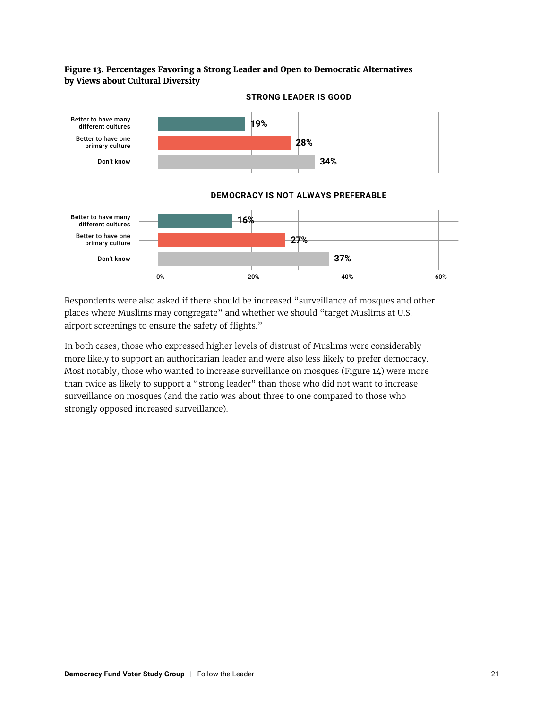



Respondents were also asked if there should be increased "surveillance of mosques and other places where Muslims may congregate" and whether we should "target Muslims at U.S. airport screenings to ensure the safety of flights."

In both cases, those who expressed higher levels of distrust of Muslims were considerably more likely to support an authoritarian leader and were also less likely to prefer democracy. Most notably, those who wanted to increase surveillance on mosques (Figure 14) were more than twice as likely to support a "strong leader" than those who did not want to increase surveillance on mosques (and the ratio was about three to one compared to those who strongly opposed increased surveillance).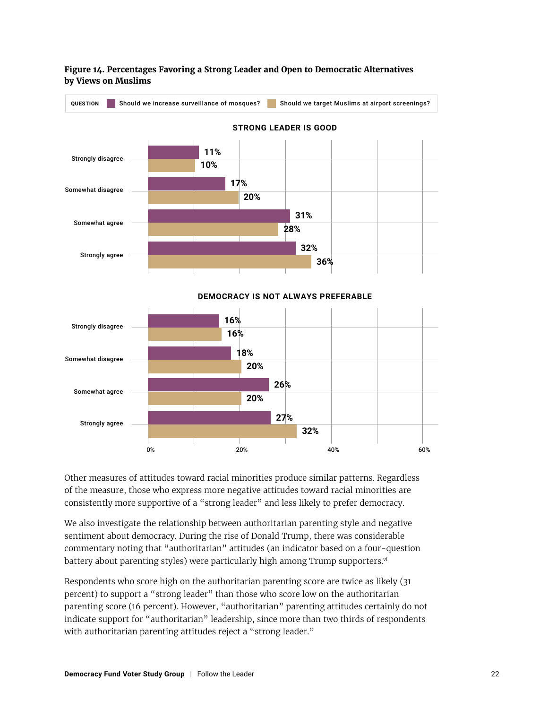

#### **Figure 14. Percentages Favoring a Strong Leader and Open to Democratic Alternatives by Views on Muslims**

Other measures of attitudes toward racial minorities produce similar patterns. Regardless of the measure, those who express more negative attitudes toward racial minorities are consistently more supportive of a "strong leader" and less likely to prefer democracy.

We also investigate the relationship between authoritarian parenting style and negative sentiment about democracy. During the rise of Donald Trump, there was considerable commentary noting that "authoritarian" attitudes (an indicator based on a four-question battery about parenting styles) were particularly high among Trump supporters.vi

Respondents who score high on the authoritarian parenting score are twice as likely (31 percent) to support a "strong leader" than those who score low on the authoritarian parenting score (16 percent). However, "authoritarian" parenting attitudes certainly do not indicate support for "authoritarian" leadership, since more than two thirds of respondents with authoritarian parenting attitudes reject a "strong leader."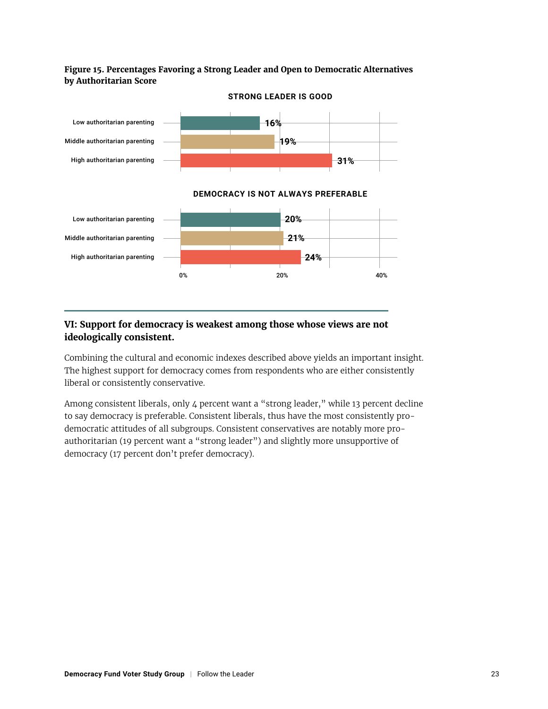#### <span id="page-23-0"></span>**Figure 15. Percentages Favoring a Strong Leader and Open to Democratic Alternatives by Authoritarian Score**



#### **VI: Support for democracy is weakest among those whose views are not ideologically consistent.**

Combining the cultural and economic indexes described above yields an important insight. The highest support for democracy comes from respondents who are either consistently liberal or consistently conservative.

Among consistent liberals, only 4 percent want a "strong leader," while 13 percent decline to say democracy is preferable. Consistent liberals, thus have the most consistently prodemocratic attitudes of all subgroups. Consistent conservatives are notably more proauthoritarian (19 percent want a "strong leader") and slightly more unsupportive of democracy (17 percent don't prefer democracy).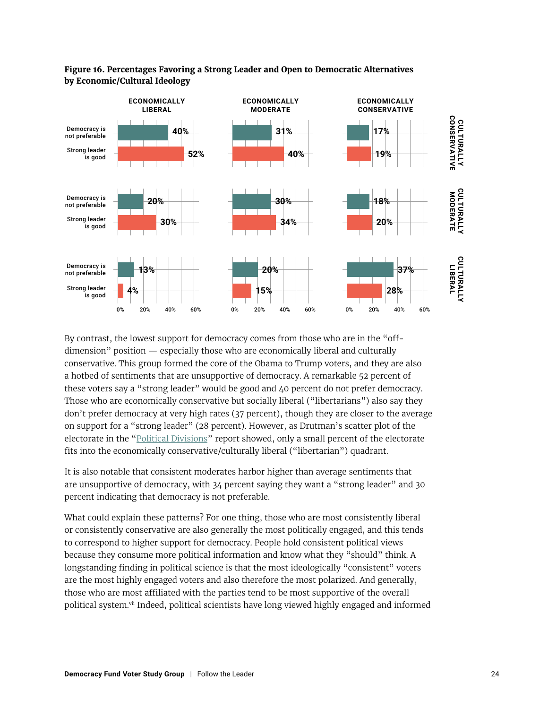

#### **Figure 16. Percentages Favoring a Strong Leader and Open to Democratic Alternatives by Economic/Cultural Ideology**

By contrast, the lowest support for democracy comes from those who are in the "offdimension" position — especially those who are economically liberal and culturally conservative. This group formed the core of the Obama to Trump voters, and they are also a hotbed of sentiments that are unsupportive of democracy. A remarkable 52 percent of these voters say a "strong leader" would be good and 40 percent do not prefer democracy. Those who are economically conservative but socially liberal ("libertarians") also say they don't prefer democracy at very high rates (37 percent), though they are closer to the average on support for a "strong leader" (28 percent). However, as Drutman's scatter plot of the electorate in the ["Political Divisions"](https://www.voterstudygroup.org/publications/2016-elections/political-divisions-in-2016-and-beyond) report showed, only a small percent of the electorate fits into the economically conservative/culturally liberal ("libertarian") quadrant.

It is also notable that consistent moderates harbor higher than average sentiments that are unsupportive of democracy, with 34 percent saying they want a "strong leader" and 30 percent indicating that democracy is not preferable.

What could explain these patterns? For one thing, those who are most consistently liberal or consistently conservative are also generally the most politically engaged, and this tends to correspond to higher support for democracy. People hold consistent political views because they consume more political information and know what they "should" think. A longstanding finding in political science is that the most ideologically "consistent" voters are the most highly engaged voters and also therefore the most polarized. And generally, those who are most affiliated with the parties tend to be most supportive of the overall political system.vii Indeed, political scientists have long viewed highly engaged and informed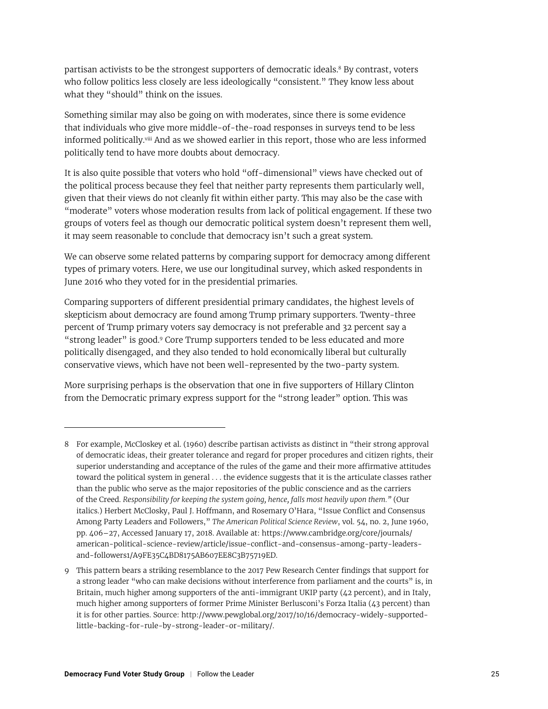partisan activists to be the strongest supporters of democratic ideals.<sup>8</sup> By contrast, voters who follow politics less closely are less ideologically "consistent." They know less about what they "should" think on the issues.

Something similar may also be going on with moderates, since there is some evidence that individuals who give more middle-of-the-road responses in surveys tend to be less informed politically.viii And as we showed earlier in this report, those who are less informed politically tend to have more doubts about democracy.

It is also quite possible that voters who hold "off-dimensional" views have checked out of the political process because they feel that neither party represents them particularly well, given that their views do not cleanly fit within either party. This may also be the case with "moderate" voters whose moderation results from lack of political engagement. If these two groups of voters feel as though our democratic political system doesn't represent them well, it may seem reasonable to conclude that democracy isn't such a great system.

We can observe some related patterns by comparing support for democracy among different types of primary voters. Here, we use our longitudinal survey, which asked respondents in June 2016 who they voted for in the presidential primaries.

Comparing supporters of different presidential primary candidates, the highest levels of skepticism about democracy are found among Trump primary supporters. Twenty-three percent of Trump primary voters say democracy is not preferable and 32 percent say a "strong leader" is good.9 Core Trump supporters tended to be less educated and more politically disengaged, and they also tended to hold economically liberal but culturally conservative views, which have not been well-represented by the two-party system.

More surprising perhaps is the observation that one in five supporters of Hillary Clinton from the Democratic primary express support for the "strong leader" option. This was

<sup>8</sup> For example, McCloskey et al. (1960) describe partisan activists as distinct in "their strong approval of democratic ideas, their greater tolerance and regard for proper procedures and citizen rights, their superior understanding and acceptance of the rules of the game and their more affirmative attitudes toward the political system in general . . . the evidence suggests that it is the articulate classes rather than the public who serve as the major repositories of the public conscience and as the carriers of the Creed. *Responsibility for keeping the system going, hence, falls most heavily upon them."* (Our italics.) Herbert McClosky, Paul J. Hoffmann, and Rosemary O'Hara, "Issue Conflict and Consensus Among Party Leaders and Followers," *The American Political Science Review*, vol. 54, no. 2, June 1960, pp. 406–27, Accessed January 17, 2018. Available at: https://www.cambridge.org/core/journals/ american-political-science-review/article/issue-conflict-and-consensus-among-party-leadersand-followers1/A9FE35C4BD8175AB607EE8C3B75719ED.

<sup>9</sup> This pattern bears a striking resemblance to the 2017 Pew Research Center findings that support for a strong leader "who can make decisions without interference from parliament and the courts" is, in Britain, much higher among supporters of the anti-immigrant UKIP party (42 percent), and in Italy, much higher among supporters of former Prime Minister Berlusconi's Forza Italia (43 percent) than it is for other parties. Source: http://www.pewglobal.org/2017/10/16/democracy-widely-supportedlittle-backing-for-rule-by-strong-leader-or-military/.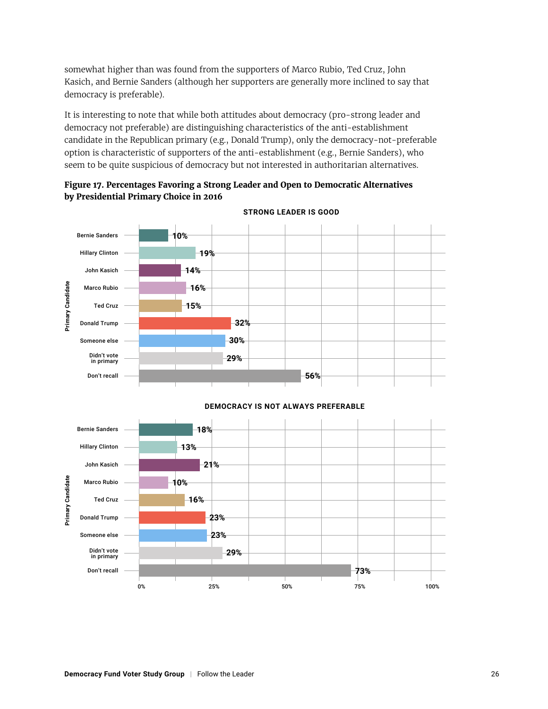somewhat higher than was found from the supporters of Marco Rubio, Ted Cruz, John Kasich, and Bernie Sanders (although her supporters are generally more inclined to say that democracy is preferable).

It is interesting to note that while both attitudes about democracy (pro-strong leader and democracy not preferable) are distinguishing characteristics of the anti-establishment candidate in the Republican primary (e.g., Donald Trump), only the democracy-not-preferable option is characteristic of supporters of the anti-establishment (e.g., Bernie Sanders), who seem to be quite suspicious of democracy but not interested in authoritarian alternatives.

**Figure 17. Percentages Favoring a Strong Leader and Open to Democratic Alternatives by Presidential Primary Choice in 2016**



**STRONG LEADER IS GOOD**

#### **DEMOCRACY IS NOT ALWAYS PREFERABLE**

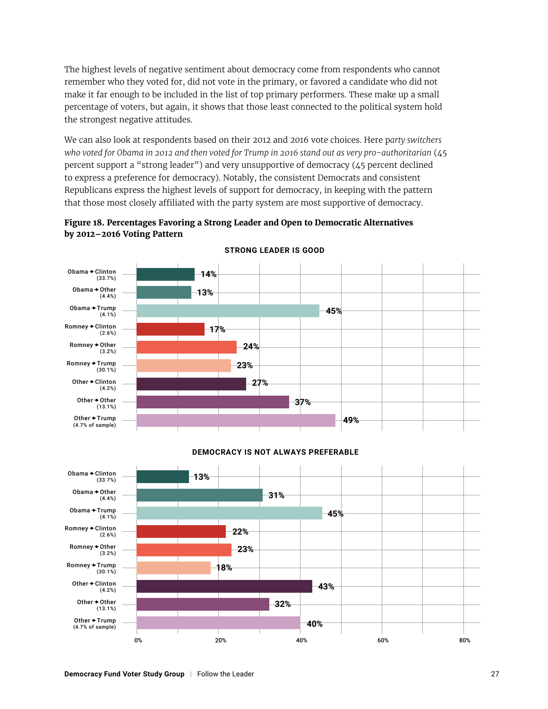The highest levels of negative sentiment about democracy come from respondents who cannot remember who they voted for, did not vote in the primary, or favored a candidate who did not make it far enough to be included in the list of top primary performers. These make up a small percentage of voters, but again, it shows that those least connected to the political system hold the strongest negative attitudes.

We can also look at respondents based on their 2012 and 2016 vote choices. Here p*arty switchers who voted for Obama in 2012 and then voted for Trump in 2016 stand out as very pro-authoritarian* (45 percent support a "strong leader") and very unsupportive of democracy (45 percent declined to express a preference for democracy). Notably, the consistent Democrats and consistent Republicans express the highest levels of support for democracy, in keeping with the pattern that those most closely affiliated with the party system are most supportive of democracy.





#### **DEMOCRACY IS NOT ALWAYS PREFERABLE**

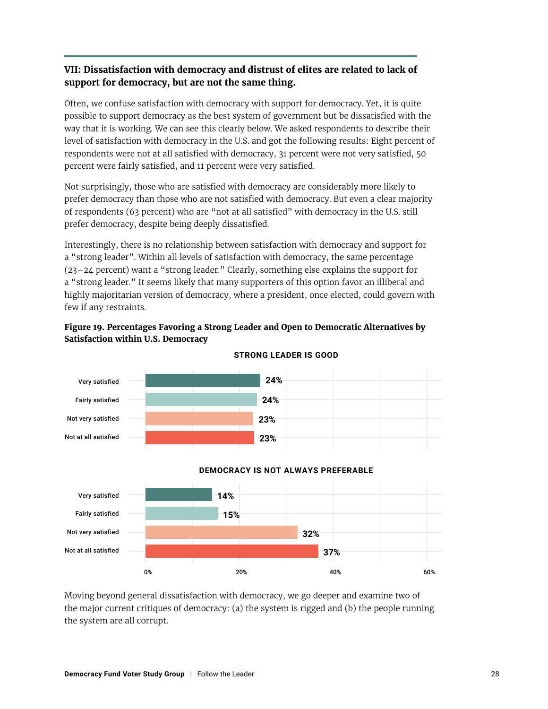#### <span id="page-28-0"></span>**VII: Dissatisfaction with democracy and distrust of elites are related to lack of support for democracy, but are not the same thing.**

Often, we confuse satisfaction with democracy with support for democracy. Yet, it is quite possible to support democracy as the best system of government but be dissatisfied with the way that it is working. We can see this clearly below. We asked respondents to describe their level of satisfaction with democracy in the U.S. and got the following results: Eight percent of respondents were not at all satisfied with democracy, 31 percent were not very satisfied, 50 percent were fairly satisfied, and 11 percent were very satisfied.

Not surprisingly, those who are satisfied with democracy are considerably more likely to prefer democracy than those who are not satisfied with democracy. But even a clear majority of respondents (63 percent) who are "not at all satisfied" with democracy in the U.S. still prefer democracy, despite being deeply dissatisfied.

Interestingly, there is no relationship between satisfaction with democracy and support for a "strong leader". Within all levels of satisfaction with democracy, the same percentage (23–24 percent) want a "strong leader." Clearly, something else explains the support for a "strong leader." It seems likely that many supporters of this option favor an illiberal and highly majoritarian version of democracy, where a president, once elected, could govern with few if any restraints.





#### **STRONG LEADER IS GOOD**

#### **DEMOCRACY IS NOT ALWAYS PREFERABLE**



Moving beyond general dissatisfaction with democracy, we go deeper and examine two of the major current critiques of democracy: (a) the system is rigged and (b) the people running the system are all corrupt.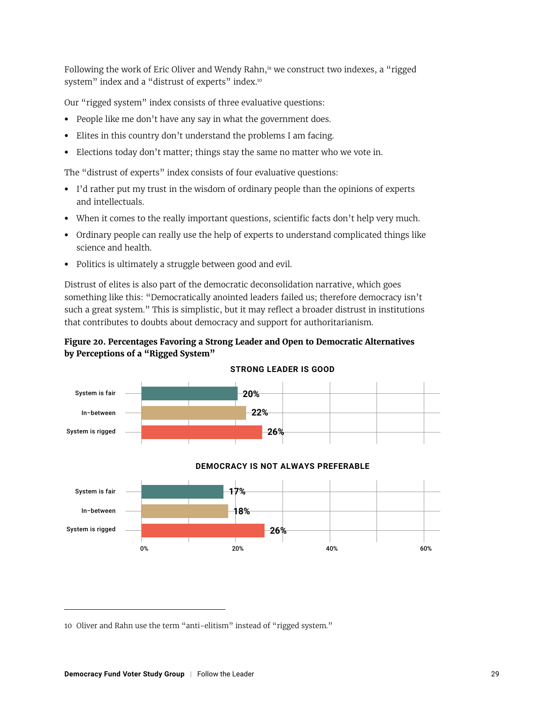Following the work of Eric Oliver and Wendy Rahn, ix we construct two indexes, a "rigged system" index and a "distrust of experts" index.<sup>10</sup>

Our "rigged system" index consists of three evaluative questions:

- **•** People like me don't have any say in what the government does.
- **•** Elites in this country don't understand the problems I am facing.
- **•** Elections today don't matter; things stay the same no matter who we vote in.

The "distrust of experts" index consists of four evaluative questions:

- **•** I'd rather put my trust in the wisdom of ordinary people than the opinions of experts and intellectuals.
- **•** When it comes to the really important questions, scientific facts don't help very much.
- **•** Ordinary people can really use the help of experts to understand complicated things like science and health.
- **•** Politics is ultimately a struggle between good and evil.

Distrust of elites is also part of the democratic deconsolidation narrative, which goes something like this: "Democratically anointed leaders failed us; therefore democracy isn't such a great system." This is simplistic, but it may reflect a broader distrust in institutions that contributes to doubts about democracy and support for authoritarianism.





#### **STRONG LEADER IS GOOD**

<sup>10</sup> Oliver and Rahn use the term "anti-elitism" instead of "rigged system."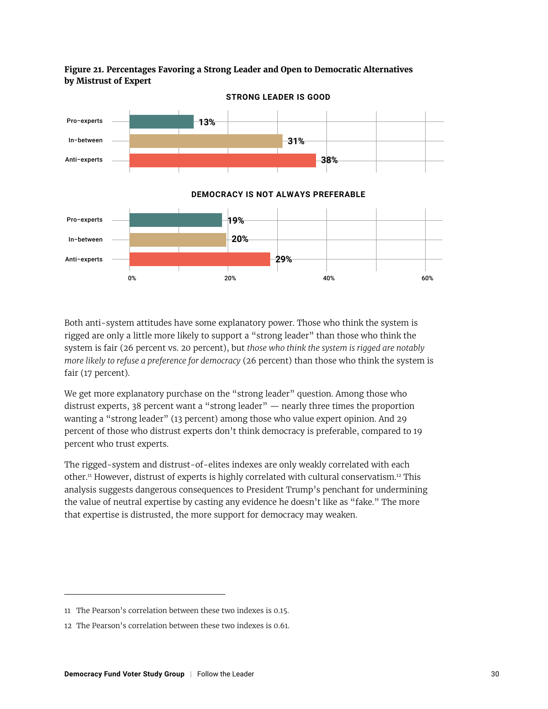**Figure 21. Percentages Favoring a Strong Leader and Open to Democratic Alternatives by Mistrust of Expert**



Both anti-system attitudes have some explanatory power. Those who think the system is rigged are only a little more likely to support a "strong leader" than those who think the system is fair (26 percent vs. 20 percent), but *those who think the system is rigged are notably more likely to refuse a preference for democracy* (26 percent) than those who think the system is fair (17 percent).

We get more explanatory purchase on the "strong leader" question. Among those who distrust experts, 38 percent want a "strong leader" — nearly three times the proportion wanting a "strong leader" (13 percent) among those who value expert opinion. And 29 percent of those who distrust experts don't think democracy is preferable, compared to 19 percent who trust experts.

The rigged-system and distrust-of-elites indexes are only weakly correlated with each other.11 However, distrust of experts is highly correlated with cultural conservatism.12 This analysis suggests dangerous consequences to President Trump's penchant for undermining the value of neutral expertise by casting any evidence he doesn't like as "fake." The more that expertise is distrusted, the more support for democracy may weaken.

<sup>11</sup> The Pearson's correlation between these two indexes is 0.15.

<sup>12</sup> The Pearson's correlation between these two indexes is 0.61.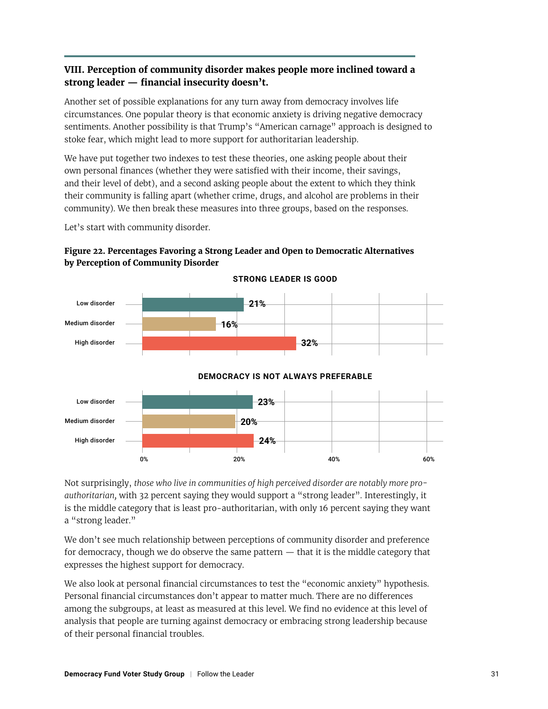#### <span id="page-31-0"></span>**VIII. Perception of community disorder makes people more inclined toward a strong leader — financial insecurity doesn't.**

Another set of possible explanations for any turn away from democracy involves life circumstances. One popular theory is that economic anxiety is driving negative democracy sentiments. Another possibility is that Trump's "American carnage" approach is designed to stoke fear, which might lead to more support for authoritarian leadership.

We have put together two indexes to test these theories, one asking people about their own personal finances (whether they were satisfied with their income, their savings, and their level of debt), and a second asking people about the extent to which they think their community is falling apart (whether crime, drugs, and alcohol are problems in their community). We then break these measures into three groups, based on the responses.

Let's start with community disorder.

#### **Figure 22. Percentages Favoring a Strong Leader and Open to Democratic Alternatives by Perception of Community Disorder**



**STRONG LEADER IS GOOD**

Not surprisingly, *those who live in communities of high perceived disorder are notably more proauthoritarian,* with 32 percent saying they would support a "strong leader". Interestingly, it is the middle category that is least pro-authoritarian, with only 16 percent saying they want a "strong leader."

We don't see much relationship between perceptions of community disorder and preference for democracy, though we do observe the same pattern — that it is the middle category that expresses the highest support for democracy.

We also look at personal financial circumstances to test the "economic anxiety" hypothesis. Personal financial circumstances don't appear to matter much. There are no differences among the subgroups, at least as measured at this level. We find no evidence at this level of analysis that people are turning against democracy or embracing strong leadership because of their personal financial troubles.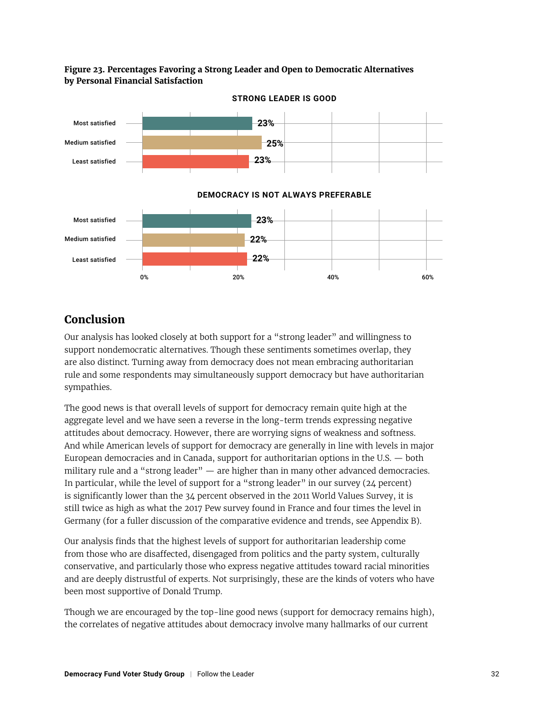

#### <span id="page-32-0"></span>**Figure 23. Percentages Favoring a Strong Leader and Open to Democratic Alternatives by Personal Financial Satisfaction**

# **Conclusion**

Our analysis has looked closely at both support for a "strong leader" and willingness to support nondemocratic alternatives. Though these sentiments sometimes overlap, they are also distinct. Turning away from democracy does not mean embracing authoritarian rule and some respondents may simultaneously support democracy but have authoritarian sympathies.

The good news is that overall levels of support for democracy remain quite high at the aggregate level and we have seen a reverse in the long-term trends expressing negative attitudes about democracy. However, there are worrying signs of weakness and softness. And while American levels of support for democracy are generally in line with levels in major European democracies and in Canada, support for authoritarian options in the U.S. — both military rule and a "strong leader"  $-$  are higher than in many other advanced democracies. In particular, while the level of support for a "strong leader" in our survey (24 percent) is significantly lower than the 34 percent observed in the 2011 World Values Survey, it is still twice as high as what the 2017 Pew survey found in France and four times the level in Germany (for a fuller discussion of the comparative evidence and trends, see Appendix B).

Our analysis finds that the highest levels of support for authoritarian leadership come from those who are disaffected, disengaged from politics and the party system, culturally conservative, and particularly those who express negative attitudes toward racial minorities and are deeply distrustful of experts. Not surprisingly, these are the kinds of voters who have been most supportive of Donald Trump.

Though we are encouraged by the top-line good news (support for democracy remains high), the correlates of negative attitudes about democracy involve many hallmarks of our current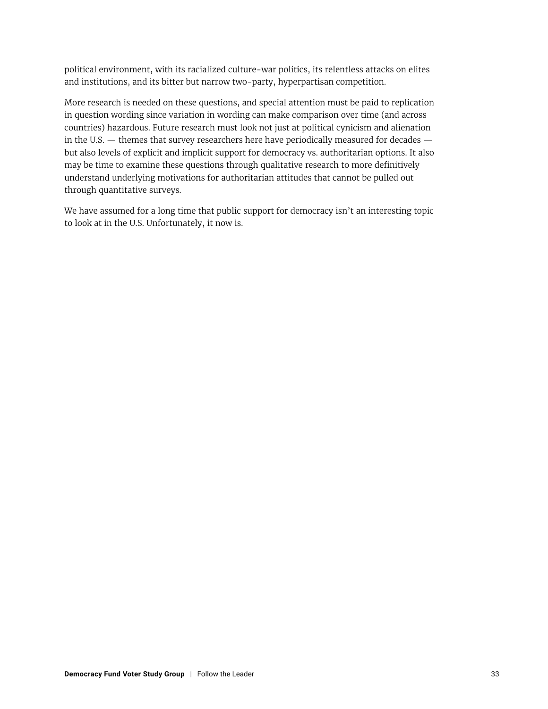political environment, with its racialized culture-war politics, its relentless attacks on elites and institutions, and its bitter but narrow two-party, hyperpartisan competition.

More research is needed on these questions, and special attention must be paid to replication in question wording since variation in wording can make comparison over time (and across countries) hazardous. Future research must look not just at political cynicism and alienation in the U.S. — themes that survey researchers here have periodically measured for decades but also levels of explicit and implicit support for democracy vs. authoritarian options. It also may be time to examine these questions through qualitative research to more definitively understand underlying motivations for authoritarian attitudes that cannot be pulled out through quantitative surveys.

We have assumed for a long time that public support for democracy isn't an interesting topic to look at in the U.S. Unfortunately, it now is.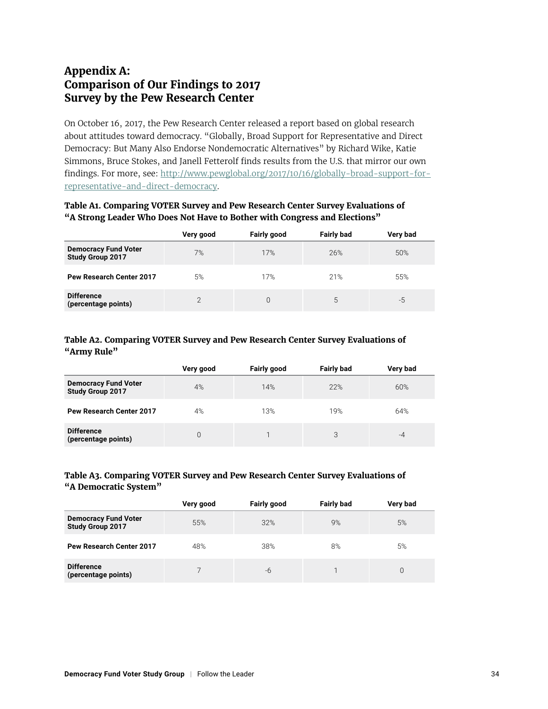# <span id="page-34-0"></span>**Appendix A: Comparison of Our Findings to 2017 Survey by the Pew Research Center**

On October 16, 2017, the Pew Research Center released a report based on global research about attitudes toward democracy. "Globally, Broad Support for Representative and Direct Democracy: But Many Also Endorse Nondemocratic Alternatives" by Richard Wike, Katie Simmons, Bruce Stokes, and Janell Fetterolf finds results from the U.S. that mirror our own findings. For more, see: [http://www.pewglobal.org/2017/10/16/globally-broad-support-for](http://www.pewglobal.org/2017/10/16/globally-broad-support-for-representative-and-direct-democracy)[representative-and-direct-democracy.](http://www.pewglobal.org/2017/10/16/globally-broad-support-for-representative-and-direct-democracy)

#### **Table A1. Comparing VOTER Survey and Pew Research Center Survey Evaluations of "A Strong Leader Who Does Not Have to Bother with Congress and Elections"**

|                                                        | Very good | <b>Fairly good</b> | <b>Fairly bad</b> | Very bad |
|--------------------------------------------------------|-----------|--------------------|-------------------|----------|
| <b>Democracy Fund Voter</b><br><b>Study Group 2017</b> | 7%        | 17%                | 26%               | 50%      |
| <b>Pew Research Center 2017</b>                        | 5%        | 17%                | 21%               | 55%      |
| <b>Difference</b><br>(percentage points)               |           |                    | ა                 | -5       |

#### **Table A2. Comparing VOTER Survey and Pew Research Center Survey Evaluations of "Army Rule"**

|                                                        | Very good | <b>Fairly good</b> | <b>Fairly bad</b> | Very bad |
|--------------------------------------------------------|-----------|--------------------|-------------------|----------|
| <b>Democracy Fund Voter</b><br><b>Study Group 2017</b> | 4%        | 14%                | 22%               | 60%      |
| <b>Pew Research Center 2017</b>                        | 4%        | 13%                | 19%               | 64%      |
| <b>Difference</b><br>(percentage points)               |           |                    | 3                 | -4       |

#### **Table A3. Comparing VOTER Survey and Pew Research Center Survey Evaluations of "A Democratic System"**

|                                                        | Very good | <b>Fairly good</b> | <b>Fairly bad</b> | Very bad |
|--------------------------------------------------------|-----------|--------------------|-------------------|----------|
| <b>Democracy Fund Voter</b><br><b>Study Group 2017</b> | 55%       | 32%                | 9%                | 5%       |
| <b>Pew Research Center 2017</b>                        | 48%       | 38%                | 8%                | 5%       |
| <b>Difference</b><br>(percentage points)               |           | -6                 |                   | 0        |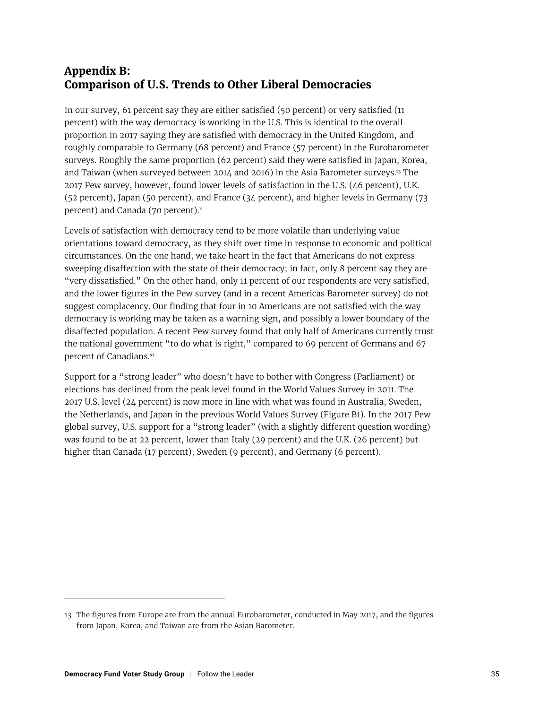# <span id="page-35-0"></span>**Appendix B: Comparison of U.S. Trends to Other Liberal Democracies**

In our survey, 61 percent say they are either satisfied (50 percent) or very satisfied (11 percent) with the way democracy is working in the U.S. This is identical to the overall proportion in 2017 saying they are satisfied with democracy in the United Kingdom, and roughly comparable to Germany (68 percent) and France (57 percent) in the Eurobarometer surveys. Roughly the same proportion (62 percent) said they were satisfied in Japan, Korea, and Taiwan (when surveyed between 2014 and 2016) in the Asia Barometer surveys.13 The 2017 Pew survey, however, found lower levels of satisfaction in the U.S. (46 percent), U.K. (52 percent), Japan (50 percent), and France (34 percent), and higher levels in Germany (73 percent) and Canada (70 percent).<sup>x</sup>

Levels of satisfaction with democracy tend to be more volatile than underlying value orientations toward democracy, as they shift over time in response to economic and political circumstances. On the one hand, we take heart in the fact that Americans do not express sweeping disaffection with the state of their democracy; in fact, only 8 percent say they are "very dissatisfied." On the other hand, only 11 percent of our respondents are very satisfied, and the lower figures in the Pew survey (and in a recent Americas Barometer survey) do not suggest complacency. Our finding that four in 10 Americans are not satisfied with the way democracy is working may be taken as a warning sign, and possibly a lower boundary of the disaffected population. A recent Pew survey found that only half of Americans currently trust the national government "to do what is right," compared to 69 percent of Germans and 67 percent of Canadians.xi

Support for a "strong leader" who doesn't have to bother with Congress (Parliament) or elections has declined from the peak level found in the World Values Survey in 2011. The 2017 U.S. level (24 percent) is now more in line with what was found in Australia, Sweden, the Netherlands, and Japan in the previous World Values Survey (Figure B1). In the 2017 Pew global survey, U.S. support for a "strong leader" (with a slightly different question wording) was found to be at 22 percent, lower than Italy (29 percent) and the U.K. (26 percent) but higher than Canada (17 percent), Sweden (9 percent), and Germany (6 percent).

<sup>13</sup> The figures from Europe are from the annual Eurobarometer, conducted in May 2017, and the figures from Japan, Korea, and Taiwan are from the Asian Barometer.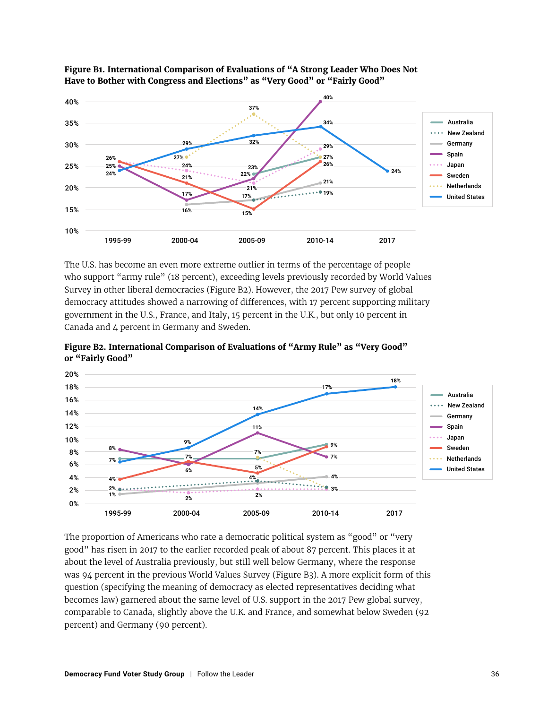



The U.S. has become an even more extreme outlier in terms of the percentage of people who support "army rule" (18 percent), exceeding levels previously recorded by World Values Survey in other liberal democracies (Figure B2). However, the 2017 Pew survey of global democracy attitudes showed a narrowing of differences, with 17 percent supporting military government in the U.S., France, and Italy, 15 percent in the U.K., but only 10 percent in Canada and 4 percent in Germany and Sweden.

**Figure B2. International Comparison of Evaluations of "Army Rule" as "Very Good" or "Fairly Good"**



The proportion of Americans who rate a democratic political system as "good" or "very good" has risen in 2017 to the earlier recorded peak of about 87 percent. This places it at about the level of Australia previously, but still well below Germany, where the response was 94 percent in the previous World Values Survey (Figure B3). A more explicit form of this question (specifying the meaning of democracy as elected representatives deciding what becomes law) garnered about the same level of U.S. support in the 2017 Pew global survey, comparable to Canada, slightly above the U.K. and France, and somewhat below Sweden (92 percent) and Germany (90 percent).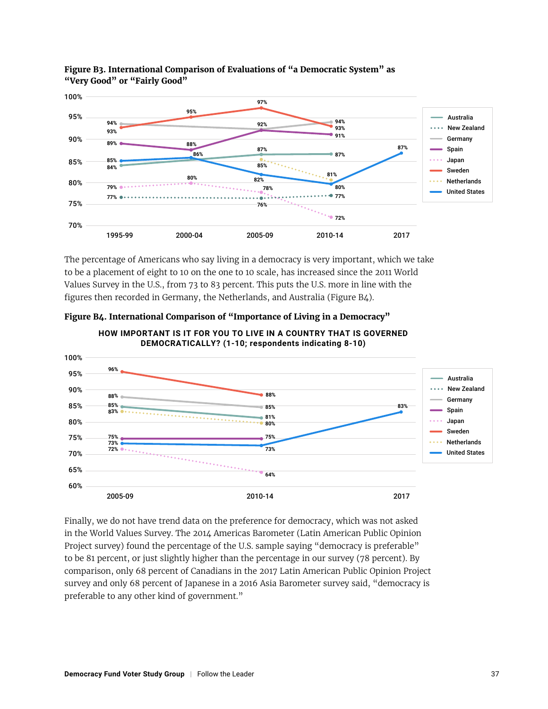

**Figure B3. International Comparison of Evaluations of "a Democratic System" as "Very Good" or "Fairly Good"**

The percentage of Americans who say living in a democracy is very important, which we take to be a placement of eight to 10 on the one to 10 scale, has increased since the 2011 World Values Survey in the U.S., from 73 to 83 percent. This puts the U.S. more in line with the figures then recorded in Germany, the Netherlands, and Australia (Figure B4).



**Figure B4. International Comparison of "Importance of Living in a Democracy"**

Finally, we do not have trend data on the preference for democracy, which was not asked in the World Values Survey. The 2014 Americas Barometer (Latin American Public Opinion Project survey) found the percentage of the U.S. sample saying "democracy is preferable" to be 81 percent, or just slightly higher than the percentage in our survey (78 percent). By comparison, only 68 percent of Canadians in the 2017 Latin American Public Opinion Project survey and only 68 percent of Japanese in a 2016 Asia Barometer survey said, "democracy is preferable to any other kind of government."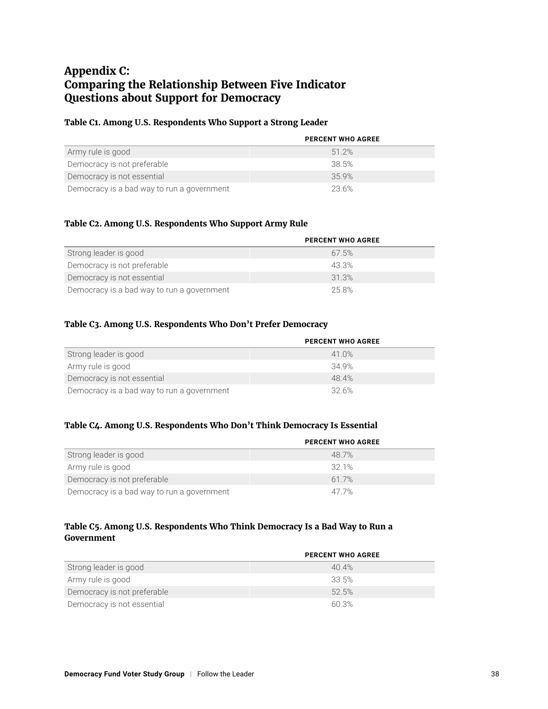# <span id="page-38-0"></span>**Appendix C: Comparing the Relationship Between Five Indicator Questions about Support for Democracy**

#### **Table C1. Among U.S. Respondents Who Support a Strong Leader**

|                                            | <b>PERCENT WHO AGREE</b> |
|--------------------------------------------|--------------------------|
| Army rule is good                          | 51 2%                    |
| Democracy is not preferable                | 38.5%                    |
| Democracy is not essential                 | 359%                     |
| Democracy is a bad way to run a government | 23.6%                    |

#### **Table C2. Among U.S. Respondents Who Support Army Rule**

|                                            | <b>PERCENT WHO AGREE</b> |
|--------------------------------------------|--------------------------|
| Strong leader is good                      | 67.5%                    |
| Democracy is not preferable                | 43.3%                    |
| Democracy is not essential                 | 31 3%                    |
| Democracy is a bad way to run a government | 258%                     |

#### **Table C3. Among U.S. Respondents Who Don't Prefer Democracy**

|                                            | <b>PERCENT WHO AGREE</b> |
|--------------------------------------------|--------------------------|
| Strong leader is good                      | 41.0%                    |
| Army rule is good                          | 34 9%                    |
| Democracy is not essential                 | 48.4%                    |
| Democracy is a bad way to run a government | 326%                     |

#### **Table C4. Among U.S. Respondents Who Don't Think Democracy Is Essential**

|                                            | <b>PERCENT WHO AGREE</b> |
|--------------------------------------------|--------------------------|
| Strong leader is good                      | 48.7%                    |
| Army rule is good                          | 321%                     |
| Democracy is not preferable                | 617%                     |
| Democracy is a bad way to run a government | 47.7%                    |

#### **Table C5. Among U.S. Respondents Who Think Democracy Is a Bad Way to Run a Government**

|                             | <b>PERCENT WHO AGREE</b> |
|-----------------------------|--------------------------|
| Strong leader is good       | 40.4%                    |
| Army rule is good           | 33.5%                    |
| Democracy is not preferable | 52.5%                    |
| Democracy is not essential  | 60.3%                    |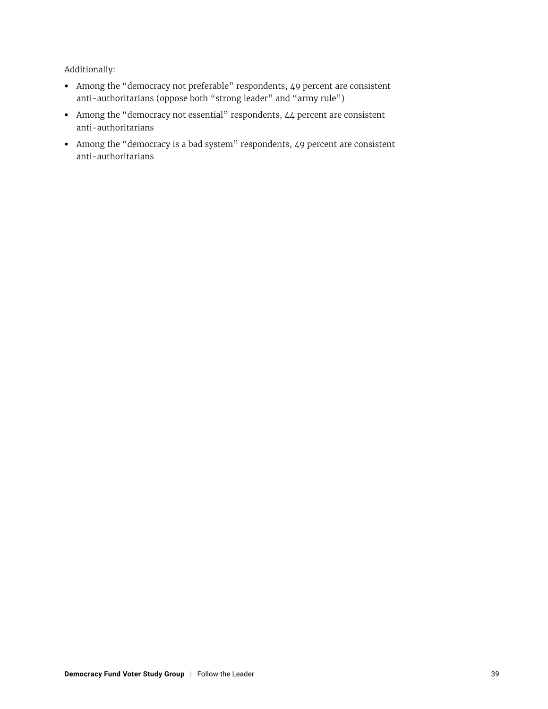Additionally:

- **•** Among the "democracy not preferable" respondents, 49 percent are consistent anti-authoritarians (oppose both "strong leader" and "army rule")
- **•** Among the "democracy not essential" respondents, 44 percent are consistent anti-authoritarians
- **•** Among the "democracy is a bad system" respondents, 49 percent are consistent anti-authoritarians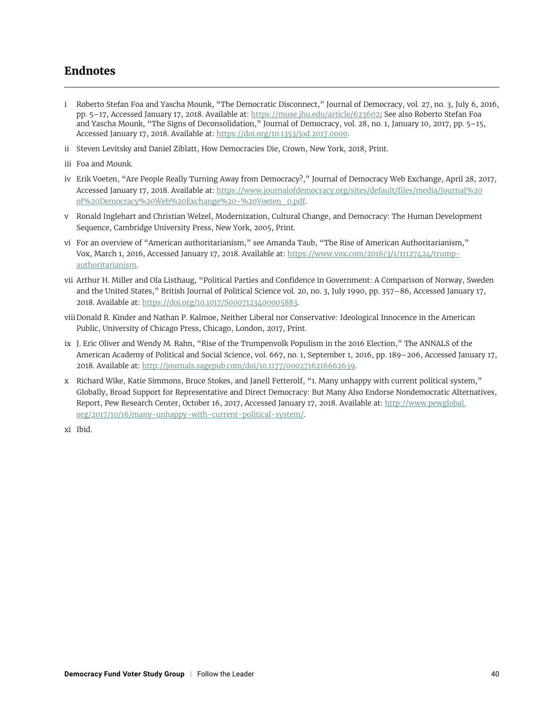# <span id="page-40-0"></span>**Endnotes**

- i Roberto Stefan Foa and Yascha Mounk, "The Democratic Disconnect," Journal of Democracy, vol. 27, no. 3, July 6, 2016, pp. 5–17, Accessed January 17, 2018. Available at: <https://muse.jhu.edu/article/623602>; See also Roberto Stefan Foa and Yascha Mounk, "The Signs of Deconsolidation," Journal of Democracy, vol. 28, no. 1, January 10, 2017, pp. 5–15, Accessed January 17, 2018. Available at: [https://doi.org/10.1353/jod.2017.0000.](https://doi.org/10.1353/jod.2017.0000)
- ii Steven Levitsky and Daniel Ziblatt, How Democracies Die, Crown, New York, 2018, Print.
- iii Foa and Mounk.
- iv Erik Voeten, "Are People Really Turning Away from Democracy?," Journal of Democracy Web Exchange, April 28, 2017, Accessed January 17, 2018. Available at: [https://www.journalofdemocracy.org/sites/default/files/media/Journal%20](https://www.journalofdemocracy.org/sites/default/files/media/Journal%20of%20Democracy%20Web%20Exchan) [of%20Democracy%20Web%20Exchange%20-%20Voeten\\_0.pdf](https://www.journalofdemocracy.org/sites/default/files/media/Journal%20of%20Democracy%20Web%20Exchan).
- v Ronald Inglehart and Christian Welzel, Modernization, Cultural Change, and Democracy: The Human Development Sequence, Cambridge University Press, New York, 2005, Print.
- vi For an overview of "American authoritarianism," see Amanda Taub, "The Rise of American Authoritarianism," Vox, March 1, 2016, Accessed January 17, 2018. Available at: [https://www.vox.com/2016/3/1/11127424/trump](https://www.vox.com/2016/3/1/11127424/trump-authoritarianism)[authoritarianism](https://www.vox.com/2016/3/1/11127424/trump-authoritarianism).
- vii Arthur H. Miller and Ola Listhaug, "Political Parties and Confidence in Government: A Comparison of Norway, Sweden and the United States," British Journal of Political Science vol. 20, no. 3, July 1990, pp. 357–86, Accessed January 17, 2018. Available at:<https://doi.org/10.1017/S0007123400005883>.
- viiiDonald R. Kinder and Nathan P. Kalmoe, Neither Liberal nor Conservative: Ideological Innocence in the American Public, University of Chicago Press, Chicago, London, 2017, Print.
- ix J. Eric Oliver and Wendy M. Rahn, "Rise of the Trumpenvolk Populism in the 2016 Election," The ANNALS of the American Academy of Political and Social Science, vol. 667, no. 1, September 1, 2016, pp. 189–206, Accessed January 17, 2018. Available at: [http://journals.sagepub.com/doi/10.1177/0002716216662639.](http://journals.sagepub.com/doi/10.1177/0002716216662639)
- x Richard Wike, Katie Simmons, Bruce Stokes, and Janell Fetterolf, "1. Many unhappy with current political system," Globally, Broad Support for Representative and Direct Democracy: But Many Also Endorse Nondemocratic Alternatives, Report, Pew Research Center, October 16, 2017, Accessed January 17, 2018. Available at: [http://www.pewglobal.](http://www.pewglobal.org/2017/10/16/many-unhappy-with-current-political-system/) [org/2017/10/16/many-unhappy-with-current-political-system/](http://www.pewglobal.org/2017/10/16/many-unhappy-with-current-political-system/).

xi Ibid.